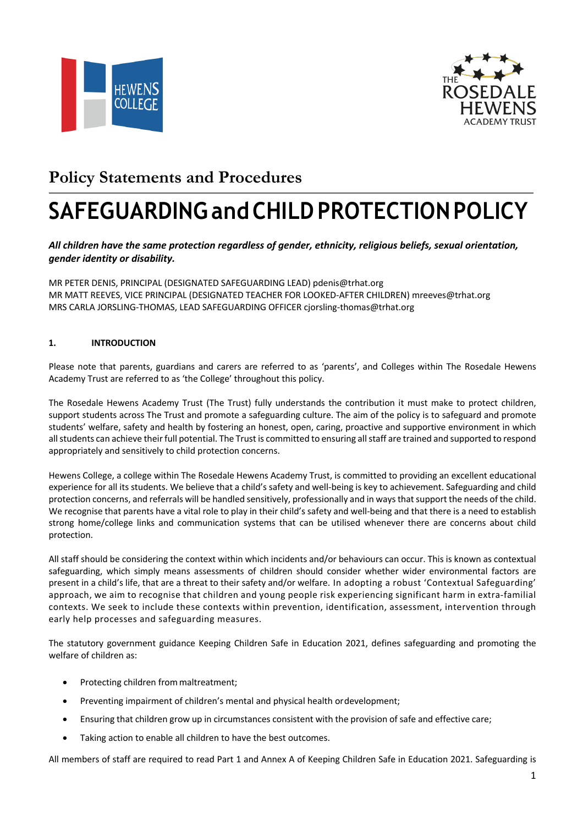



## **Policy Statements and Procedures**

# **SAFEGUARDINGandCHILDPROTECTIONPOLICY**

## *All children have the same protection regardless of gender, ethnicity, religious beliefs, sexual orientation, gender identity or disability.*

MR PETER DENIS, PRINCIPAL (DESIGNATED SAFEGUARDING LEAD) pdenis@trhat.org MR MATT REEVES, VICE PRINCIPAL (DESIGNATED TEACHER FOR LOOKED-AFTER CHILDREN) mreeves@trhat.org MRS CARLA JORSLING-THOMAS, LEAD SAFEGUARDING OFFICER cjorsling-thomas@trhat.org

## **1. INTRODUCTION**

Please note that parents, guardians and carers are referred to as 'parents', and Colleges within The Rosedale Hewens Academy Trust are referred to as 'the College' throughout this policy.

The Rosedale Hewens Academy Trust (The Trust) fully understands the contribution it must make to protect children, support students across The Trust and promote a safeguarding culture. The aim of the policy is to safeguard and promote students' welfare, safety and health by fostering an honest, open, caring, proactive and supportive environment in which all students can achieve their full potential. The Trust is committed to ensuring all staff are trained and supported to respond appropriately and sensitively to child protection concerns.

Hewens College, a college within The Rosedale Hewens Academy Trust, is committed to providing an excellent educational experience for all its students. We believe that a child's safety and well-being is key to achievement. Safeguarding and child protection concerns, and referrals will be handled sensitively, professionally and in ways that support the needs of the child. We recognise that parents have a vital role to play in their child's safety and well-being and that there is a need to establish strong home/college links and communication systems that can be utilised whenever there are concerns about child protection.

All staff should be considering the context within which incidents and/or behaviours can occur. This is known as contextual safeguarding, which simply means assessments of children should consider whether wider environmental factors are present in a child's life, that are a threat to their safety and/or welfare. In adopting a robust 'Contextual Safeguarding' approach, we aim to recognise that children and young people risk experiencing significant harm in extra-familial contexts. We seek to include these contexts within prevention, identification, assessment, intervention through early help processes and safeguarding measures.

The statutory government guidance Keeping Children Safe in Education 2021, defines safeguarding and promoting the welfare of children as:

- Protecting children frommaltreatment;
- Preventing impairment of children's mental and physical health ordevelopment;
- Ensuring that children grow up in circumstances consistent with the provision of safe and effective care;
- Taking action to enable all children to have the best outcomes.

All members of staff are required to read Part 1 and Annex A of Keeping Children Safe in Education 2021. Safeguarding is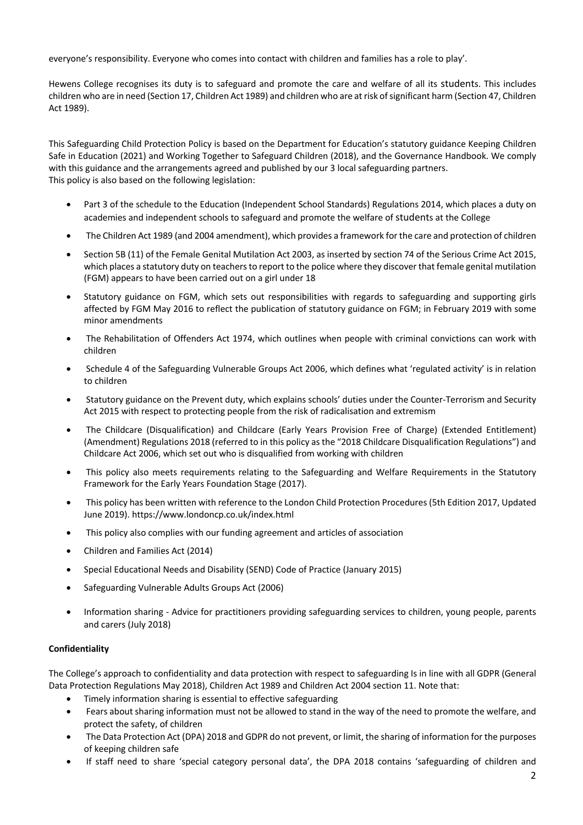everyone's responsibility. Everyone who comes into contact with children and families has a role to play'.

Hewens College recognises its duty is to safeguard and promote the care and welfare of all its students. This includes children who are in need (Section 17, Children Act 1989) and children who are at risk of significant harm (Section 47, Children Act 1989).

This Safeguarding Child Protection Policy is based on the Department for Education's statutory guidance Keeping Children Safe in Education (2021) and Working Together to Safeguard Children (2018), and the Governance Handbook. We comply with this guidance and the arrangements agreed and published by our 3 local safeguarding partners. This policy is also based on the following legislation:

- Part 3 of the schedule to the Education (Independent School Standards) Regulations 2014, which places a duty on academies and independent schools to safeguard and promote the welfare of students at the College
- The Children Act 1989 (and 2004 amendment), which provides a framework for the care and protection of children
- Section 5B (11) of the Female Genital Mutilation Act 2003, as inserted by section 74 of the Serious Crime Act 2015, which places a statutory duty on teachers to report to the police where they discover that female genital mutilation (FGM) appears to have been carried out on a girl under 18
- Statutory guidance on FGM, which sets out responsibilities with regards to safeguarding and supporting girls affected by FGM May 2016 to reflect the publication of statutory guidance on FGM; in February 2019 with some minor amendments
- The Rehabilitation of Offenders Act 1974, which outlines when people with criminal convictions can work with children
- Schedule 4 of the Safeguarding Vulnerable Groups Act 2006, which defines what 'regulated activity' is in relation to children
- Statutory guidance on the Prevent duty, which explains schools' duties under the Counter-Terrorism and Security Act 2015 with respect to protecting people from the risk of radicalisation and extremism
- The Childcare (Disqualification) and Childcare (Early Years Provision Free of Charge) (Extended Entitlement) (Amendment) Regulations 2018 (referred to in this policy as the "2018 Childcare Disqualification Regulations") and Childcare Act 2006, which set out who is disqualified from working with children
- This policy also meets requirements relating to the Safeguarding and Welfare Requirements in the Statutory Framework for the Early Years Foundation Stage (2017).
- This policy has been written with reference to the London Child Protection Procedures (5th Edition 2017, Updated June 2019). https://www.londoncp.co.uk/index.html
- This policy also complies with our funding agreement and articles of association
- Children and Families Act (2014)
- Special Educational Needs and Disability (SEND) Code of Practice (January 2015)
- Safeguarding Vulnerable Adults Groups Act (2006)
- Information sharing Advice for practitioners providing safeguarding services to children, young people, parents and carers (July 2018)

## **Confidentiality**

The College's approach to confidentiality and data protection with respect to safeguarding Is in line with all GDPR (General Data Protection Regulations May 2018), Children Act 1989 and Children Act 2004 section 11. Note that:

- Timely information sharing is essential to effective safeguarding
- Fears about sharing information must not be allowed to stand in the way of the need to promote the welfare, and protect the safety, of children
- The Data Protection Act (DPA) 2018 and GDPR do not prevent, or limit, the sharing of information for the purposes of keeping children safe
- If staff need to share 'special category personal data', the DPA 2018 contains 'safeguarding of children and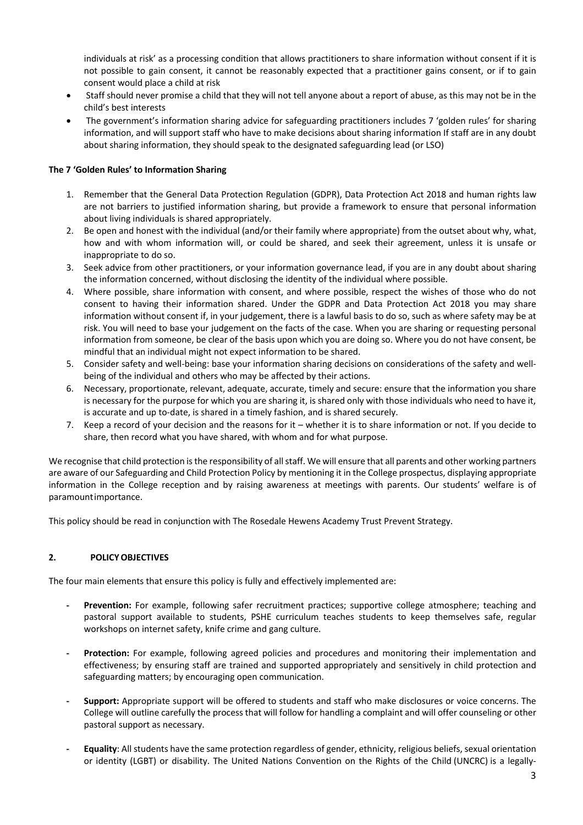individuals at risk' as a processing condition that allows practitioners to share information without consent if it is not possible to gain consent, it cannot be reasonably expected that a practitioner gains consent, or if to gain consent would place a child at risk

- Staff should never promise a child that they will not tell anyone about a report of abuse, as this may not be in the child's best interests
- The government's information sharing advice for safeguarding practitioners includes 7 'golden rules' for sharing information, and will support staff who have to make decisions about sharing information If staff are in any doubt about sharing information, they should speak to the designated safeguarding lead (or LSO)

#### **The 7 'Golden Rules' to Information Sharing**

- 1. Remember that the General Data Protection Regulation (GDPR), Data Protection Act 2018 and human rights law are not barriers to justified information sharing, but provide a framework to ensure that personal information about living individuals is shared appropriately.
- 2. Be open and honest with the individual (and/or their family where appropriate) from the outset about why, what, how and with whom information will, or could be shared, and seek their agreement, unless it is unsafe or inappropriate to do so.
- 3. Seek advice from other practitioners, or your information governance lead, if you are in any doubt about sharing the information concerned, without disclosing the identity of the individual where possible.
- 4. Where possible, share information with consent, and where possible, respect the wishes of those who do not consent to having their information shared. Under the GDPR and Data Protection Act 2018 you may share information without consent if, in your judgement, there is a lawful basis to do so, such as where safety may be at risk. You will need to base your judgement on the facts of the case. When you are sharing or requesting personal information from someone, be clear of the basis upon which you are doing so. Where you do not have consent, be mindful that an individual might not expect information to be shared.
- 5. Consider safety and well-being: base your information sharing decisions on considerations of the safety and wellbeing of the individual and others who may be affected by their actions.
- 6. Necessary, proportionate, relevant, adequate, accurate, timely and secure: ensure that the information you share is necessary for the purpose for which you are sharing it, is shared only with those individuals who need to have it, is accurate and up to-date, is shared in a timely fashion, and is shared securely.
- 7. Keep a record of your decision and the reasons for it whether it is to share information or not. If you decide to share, then record what you have shared, with whom and for what purpose.

We recognise that child protection is the responsibility of all staff. We will ensure that all parents and other working partners are aware of our Safeguarding and Child Protection Policy by mentioning it in the College prospectus, displaying appropriate information in the College reception and by raising awareness at meetings with parents. Our students' welfare is of paramountimportance.

This policy should be read in conjunction with The Rosedale Hewens Academy Trust Prevent Strategy.

## **2. POLICYOBJECTIVES**

The four main elements that ensure this policy is fully and effectively implemented are:

- **- Prevention:** For example, following safer recruitment practices; supportive college atmosphere; teaching and pastoral support available to students, PSHE curriculum teaches students to keep themselves safe, regular workshops on internet safety, knife crime and gang culture.
- **- Protection:** For example, following agreed policies and procedures and monitoring their implementation and effectiveness; by ensuring staff are trained and supported appropriately and sensitively in child protection and safeguarding matters; by encouraging open communication.
- **- Support:** Appropriate support will be offered to students and staff who make disclosures or voice concerns. The College will outline carefully the process that will follow for handling a complaint and will offer counseling or other pastoral support as necessary.
- **- Equality**: All students have the same protection regardless of gender, ethnicity, religious beliefs, sexual orientation or identity (LGBT) or disability. The United Nations Convention on the Rights of the Child (UNCRC) is a legally-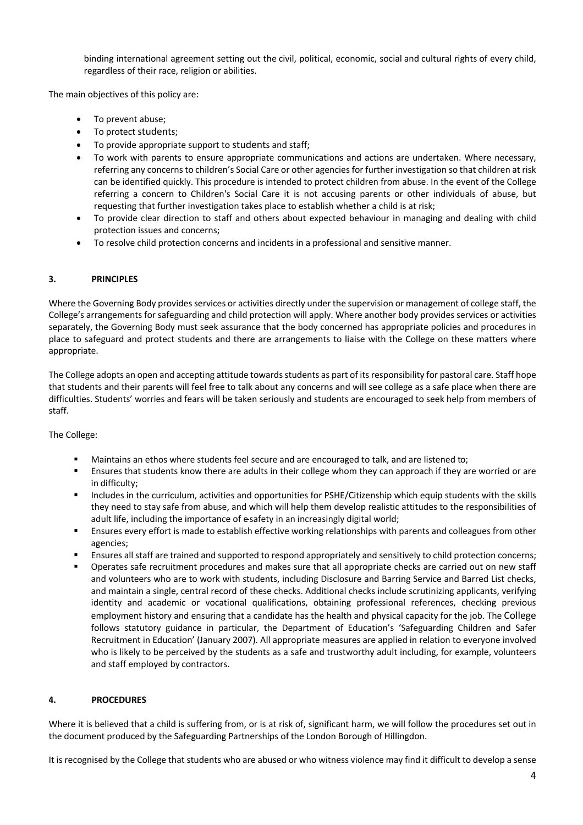binding international agreement setting out the civil, political, economic, social and cultural rights of every child, regardless of their race, religion or abilities.

The main objectives of this policy are:

- To prevent abuse;
- To protect students;
- To provide appropriate support to students and staff;
- To work with parents to ensure appropriate communications and actions are undertaken. Where necessary, referring any concerns to children's Social Care or other agencies for further investigation so that children at risk can be identified quickly. This procedure is intended to protect children from abuse. In the event of the College referring a concern to Children's Social Care it is not accusing parents or other individuals of abuse, but requesting that further investigation takes place to establish whether a child is at risk;
- To provide clear direction to staff and others about expected behaviour in managing and dealing with child protection issues and concerns;
- To resolve child protection concerns and incidents in a professional and sensitive manner.

#### **3. PRINCIPLES**

Where the Governing Body provides services or activities directly under the supervision or management of college staff, the College's arrangements for safeguarding and child protection will apply. Where another body provides services or activities separately, the Governing Body must seek assurance that the body concerned has appropriate policies and procedures in place to safeguard and protect students and there are arrangements to liaise with the College on these matters where appropriate.

The College adopts an open and accepting attitude towards students as part of its responsibility for pastoral care. Staff hope that students and their parents will feel free to talk about any concerns and will see college as a safe place when there are difficulties. Students' worries and fears will be taken seriously and students are encouraged to seek help from members of staff.

The College:

- Maintains an ethos where students feel secure and are encouraged to talk, and are listened to;
- Ensures that students know there are adults in their college whom they can approach if they are worried or are in difficulty;
- Includes in the curriculum, activities and opportunities for PSHE/Citizenship which equip students with the skills they need to stay safe from abuse, and which will help them develop realistic attitudes to the responsibilities of adult life, including the importance of esafety in an increasingly digital world;
- § Ensures every effort is made to establish effective working relationships with parents and colleagues from other agencies;
- Ensures all staff are trained and supported to respond appropriately and sensitively to child protection concerns;
- § Operates safe recruitment procedures and makes sure that all appropriate checks are carried out on new staff and volunteers who are to work with students, including Disclosure and Barring Service and Barred List checks, and maintain a single, central record of these checks. Additional checks include scrutinizing applicants, verifying identity and academic or vocational qualifications, obtaining professional references, checking previous employment history and ensuring that a candidate has the health and physical capacity for the job. The College follows statutory guidance in particular, the Department of Education's 'Safeguarding Children and Safer Recruitment in Education' (January 2007). All appropriate measures are applied in relation to everyone involved who is likely to be perceived by the students as a safe and trustworthy adult including, for example, volunteers and staff employed by contractors.

## **4. PROCEDURES**

Where it is believed that a child is suffering from, or is at risk of, significant harm, we will follow the procedures set out in the document produced by the Safeguarding Partnerships of the London Borough of Hillingdon.

It is recognised by the College that students who are abused or who witness violence may find it difficult to develop a sense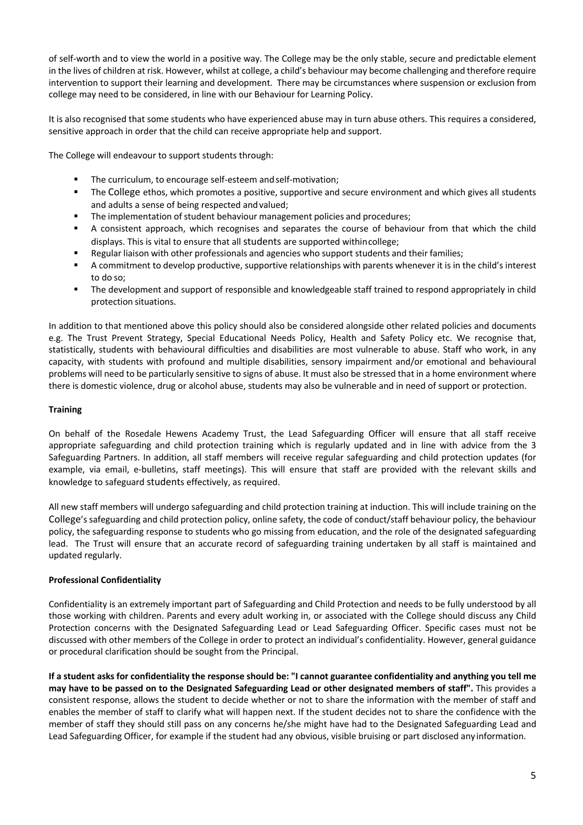of self-worth and to view the world in a positive way. The College may be the only stable, secure and predictable element in the lives of children at risk. However, whilst at college, a child's behaviour may become challenging and therefore require intervention to support their learning and development. There may be circumstances where suspension or exclusion from college may need to be considered, in line with our Behaviour for Learning Policy.

It is also recognised that some students who have experienced abuse may in turn abuse others. This requires a considered, sensitive approach in order that the child can receive appropriate help and support.

The College will endeavour to support students through:

- The curriculum, to encourage self-esteem and self-motivation;
- § The College ethos, which promotes a positive, supportive and secure environment and which gives all students and adults a sense of being respected andvalued;
- **The implementation of student behaviour management policies and procedures;**
- A consistent approach, which recognises and separates the course of behaviour from that which the child displays. This is vital to ensure that all students are supported withincollege;
- Regular liaison with other professionals and agencies who support students and their families;
- § A commitment to develop productive, supportive relationships with parents whenever it is in the child's interest to do so;
- The development and support of responsible and knowledgeable staff trained to respond appropriately in child protection situations.

In addition to that mentioned above this policy should also be considered alongside other related policies and documents e.g. The Trust Prevent Strategy, Special Educational Needs Policy, Health and Safety Policy etc. We recognise that, statistically, students with behavioural difficulties and disabilities are most vulnerable to abuse. Staff who work, in any capacity, with students with profound and multiple disabilities, sensory impairment and/or emotional and behavioural problems will need to be particularly sensitive to signs of abuse. It must also be stressed that in a home environment where there is domestic violence, drug or alcohol abuse, students may also be vulnerable and in need of support or protection.

#### **Training**

On behalf of the Rosedale Hewens Academy Trust, the Lead Safeguarding Officer will ensure that all staff receive appropriate safeguarding and child protection training which is regularly updated and in line with advice from the 3 Safeguarding Partners. In addition, all staff members will receive regular safeguarding and child protection updates (for example, via email, e-bulletins, staff meetings). This will ensure that staff are provided with the relevant skills and knowledge to safeguard students effectively, as required.

All new staff members will undergo safeguarding and child protection training at induction. This will include training on the College's safeguarding and child protection policy, online safety, the code of conduct/staff behaviour policy, the behaviour policy, the safeguarding response to students who go missing from education, and the role of the designated safeguarding lead. The Trust will ensure that an accurate record of safeguarding training undertaken by all staff is maintained and updated regularly.

#### **Professional Confidentiality**

Confidentiality is an extremely important part of Safeguarding and Child Protection and needs to be fully understood by all those working with children. Parents and every adult working in, or associated with the College should discuss any Child Protection concerns with the Designated Safeguarding Lead or Lead Safeguarding Officer. Specific cases must not be discussed with other members of the College in order to protect an individual's confidentiality. However, general guidance or procedural clarification should be sought from the Principal.

**If a student asks for confidentiality the response should be: "I cannot guarantee confidentiality and anything you tell me may have to be passed on to the Designated Safeguarding Lead or other designated members of staff".** This provides a consistent response, allows the student to decide whether or not to share the information with the member of staff and enables the member of staff to clarify what will happen next. If the student decides not to share the confidence with the member of staff they should still pass on any concerns he/she might have had to the Designated Safeguarding Lead and Lead Safeguarding Officer, for example if the student had any obvious, visible bruising or part disclosed any information.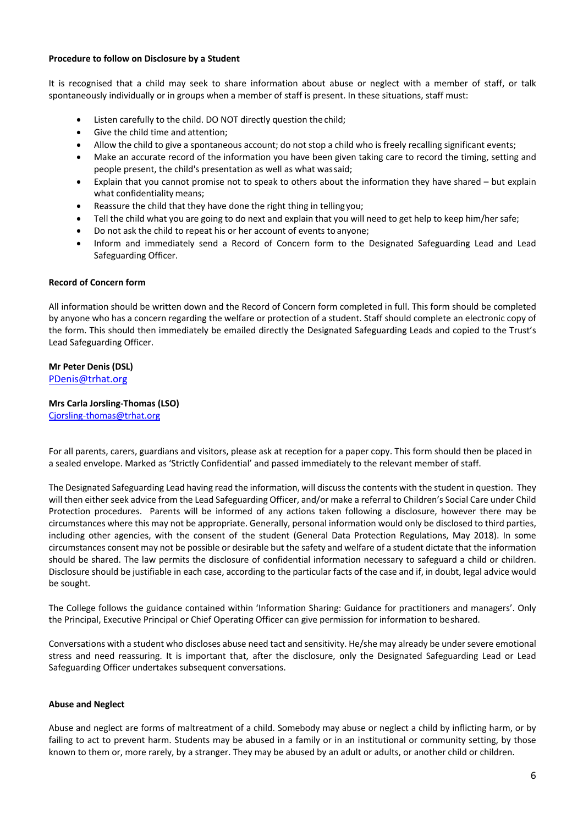#### **Procedure to follow on Disclosure by a Student**

It is recognised that a child may seek to share information about abuse or neglect with a member of staff, or talk spontaneously individually or in groups when a member of staff is present. In these situations, staff must:

- Listen carefully to the child. DO NOT directly question the child;
- Give the child time and attention;
- Allow the child to give a spontaneous account; do not stop a child who is freely recalling significant events;
- Make an accurate record of the information you have been given taking care to record the timing, setting and people present, the child's presentation as well as what wassaid;
- Explain that you cannot promise not to speak to others about the information they have shared but explain what confidentiality means;
- Reassure the child that they have done the right thing in tellingyou;
- Tell the child what you are going to do next and explain that you will need to get help to keep him/her safe;
- Do not ask the child to repeat his or her account of events to anyone;
- Inform and immediately send a Record of Concern form to the Designated Safeguarding Lead and Lead Safeguarding Officer.

#### **Record of Concern form**

All information should be written down and the Record of Concern form completed in full. This form should be completed by anyone who has a concern regarding the welfare or protection of a student. Staff should complete an electronic copy of the form. This should then immediately be emailed directly the Designated Safeguarding Leads and copied to the Trust's Lead Safeguarding Officer.

#### **Mr Peter Denis (DSL)**

PDenis@trhat.org

**Mrs Carla Jorsling-Thomas (LSO)** Cjorsling-thomas@trhat.org

For all parents, carers, guardians and visitors, please ask at reception for a paper copy. This form should then be placed in a sealed envelope. Marked as 'Strictly Confidential' and passed immediately to the relevant member of staff.

The Designated Safeguarding Lead having read the information, will discuss the contents with the student in question. They will then either seek advice from the Lead Safeguarding Officer, and/or make a referral to Children's Social Care under Child Protection procedures. Parents will be informed of any actions taken following a disclosure, however there may be circumstances where this may not be appropriate. Generally, personal information would only be disclosed to third parties, including other agencies, with the consent of the student (General Data Protection Regulations, May 2018). In some circumstances consent may not be possible or desirable but the safety and welfare of a student dictate that the information should be shared. The law permits the disclosure of confidential information necessary to safeguard a child or children. Disclosure should be justifiable in each case, according to the particular facts of the case and if, in doubt, legal advice would be sought.

The College follows the guidance contained within 'Information Sharing: Guidance for practitioners and managers'. Only the Principal, Executive Principal or Chief Operating Officer can give permission for information to beshared.

Conversations with a student who discloses abuse need tact and sensitivity. He/she may already be under severe emotional stress and need reassuring. It is important that, after the disclosure, only the Designated Safeguarding Lead or Lead Safeguarding Officer undertakes subsequent conversations.

#### **Abuse and Neglect**

Abuse and neglect are forms of maltreatment of a child. Somebody may abuse or neglect a child by inflicting harm, or by failing to act to prevent harm. Students may be abused in a family or in an institutional or community setting, by those known to them or, more rarely, by a stranger. They may be abused by an adult or adults, or another child or children.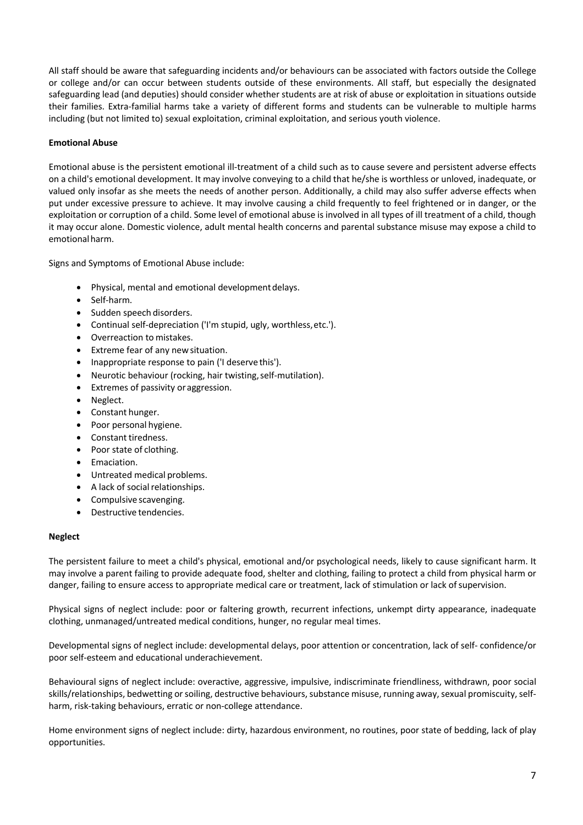All staff should be aware that safeguarding incidents and/or behaviours can be associated with factors outside the College or college and/or can occur between students outside of these environments. All staff, but especially the designated safeguarding lead (and deputies) should consider whether students are at risk of abuse or exploitation in situations outside their families. Extra-familial harms take a variety of different forms and students can be vulnerable to multiple harms including (but not limited to) sexual exploitation, criminal exploitation, and serious youth violence.

#### **Emotional Abuse**

Emotional abuse is the persistent emotional ill-treatment of a child such as to cause severe and persistent adverse effects on a child's emotional development. It may involve conveying to a child that he/she is worthless or unloved, inadequate, or valued only insofar as she meets the needs of another person. Additionally, a child may also suffer adverse effects when put under excessive pressure to achieve. It may involve causing a child frequently to feel frightened or in danger, or the exploitation or corruption of a child. Some level of emotional abuse is involved in all types of ill treatment of a child, though it may occur alone. Domestic violence, adult mental health concerns and parental substance misuse may expose a child to emotionalharm.

Signs and Symptoms of Emotional Abuse include:

- Physical, mental and emotional development delays.
- Self-harm.
- Sudden speech disorders.
- Continual self-depreciation ('I'm stupid, ugly, worthless,etc.').
- Overreaction to mistakes.
- Extreme fear of any new situation.
- Inappropriate response to pain ('I deserve this').
- Neurotic behaviour (rocking, hair twisting, self-mutilation).
- Extremes of passivity or aggression.
- Neglect.
- Constant hunger.
- Poor personal hygiene.
- Constant tiredness.
- Poor state of clothing.
- Emaciation.
- Untreated medical problems.
- A lack of social relationships.
- Compulsive scavenging.
- Destructive tendencies.

#### **Neglect**

The persistent failure to meet a child's physical, emotional and/or psychological needs, likely to cause significant harm. It may involve a parent failing to provide adequate food, shelter and clothing, failing to protect a child from physical harm or danger, failing to ensure access to appropriate medical care or treatment, lack of stimulation or lack of supervision.

Physical signs of neglect include: poor or faltering growth, recurrent infections, unkempt dirty appearance, inadequate clothing, unmanaged/untreated medical conditions, hunger, no regular meal times.

Developmental signs of neglect include: developmental delays, poor attention or concentration, lack of self- confidence/or poor self-esteem and educational underachievement.

Behavioural signs of neglect include: overactive, aggressive, impulsive, indiscriminate friendliness, withdrawn, poor social skills/relationships, bedwetting or soiling, destructive behaviours, substance misuse, running away, sexual promiscuity, selfharm, risk-taking behaviours, erratic or non-college attendance.

Home environment signs of neglect include: dirty, hazardous environment, no routines, poor state of bedding, lack of play opportunities.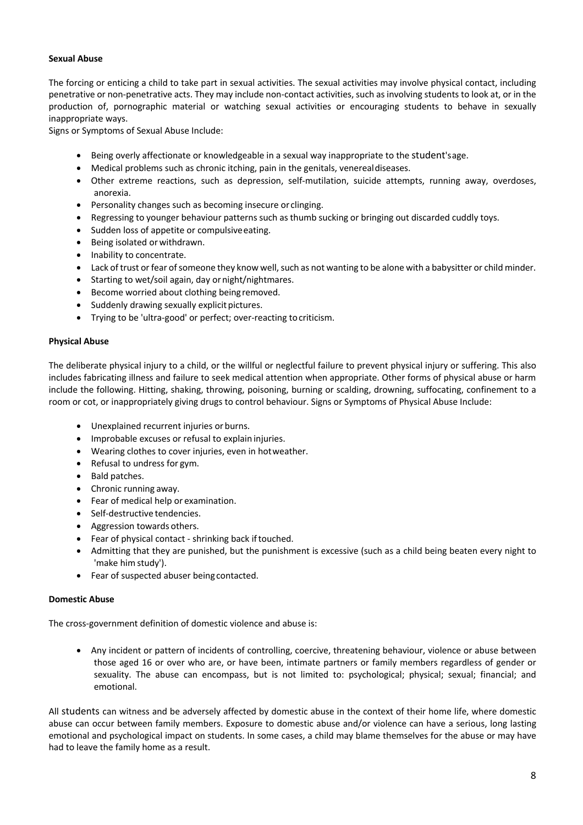#### **Sexual Abuse**

The forcing or enticing a child to take part in sexual activities. The sexual activities may involve physical contact, including penetrative or non-penetrative acts. They may include non-contact activities, such as involving students to look at, or in the production of, pornographic material or watching sexual activities or encouraging students to behave in sexually inappropriate ways.

Signs or Symptoms of Sexual Abuse Include:

- Being overly affectionate or knowledgeable in a sexual way inappropriate to the student'sage.
- Medical problems such as chronic itching, pain in the genitals, venerealdiseases.
- Other extreme reactions, such as depression, self-mutilation, suicide attempts, running away, overdoses, anorexia.
- Personality changes such as becoming insecure or clinging.
- Regressing to younger behaviour patterns such as thumb sucking or bringing out discarded cuddly toys.
- Sudden loss of appetite or compulsive eating.
- Being isolated or withdrawn.
- Inability to concentrate.
- Lack of trust or fear of someone they know well, such as not wanting to be alone with a babysitter or child minder.
- Starting to wet/soil again, day ornight/nightmares.
- Become worried about clothing beingremoved.
- Suddenly drawing sexually explicit pictures.
- Trying to be 'ultra-good' or perfect; over-reacting tocriticism.

#### **Physical Abuse**

The deliberate physical injury to a child, or the willful or neglectful failure to prevent physical injury or suffering. This also includes fabricating illness and failure to seek medical attention when appropriate. Other forms of physical abuse or harm include the following. Hitting, shaking, throwing, poisoning, burning or scalding, drowning, suffocating, confinement to a room or cot, or inappropriately giving drugs to control behaviour. Signs or Symptoms of Physical Abuse Include:

- Unexplained recurrent injuries or burns.
- Improbable excuses or refusal to explain injuries.
- Wearing clothes to cover injuries, even in hotweather.
- Refusal to undress for gym.
- Bald patches.
- Chronic running away.
- Fear of medical help or examination.
- Self-destructive tendencies.
- Aggression towards others.
- Fear of physical contact shrinking back iftouched.
- Admitting that they are punished, but the punishment is excessive (such as a child being beaten every night to 'make him study').
- Fear of suspected abuser beingcontacted.

#### **Domestic Abuse**

The cross-government definition of domestic violence and abuse is:

• Any incident or pattern of incidents of controlling, coercive, threatening behaviour, violence or abuse between those aged 16 or over who are, or have been, intimate partners or family members regardless of gender or sexuality. The abuse can encompass, but is not limited to: psychological; physical; sexual; financial; and emotional.

All students can witness and be adversely affected by domestic abuse in the context of their home life, where domestic abuse can occur between family members. Exposure to domestic abuse and/or violence can have a serious, long lasting emotional and psychological impact on students. In some cases, a child may blame themselves for the abuse or may have had to leave the family home as a result.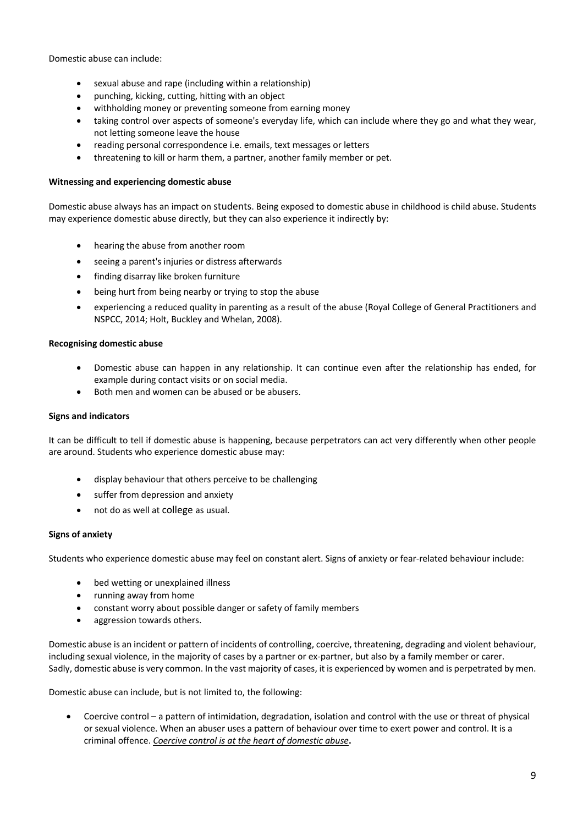Domestic abuse can include:

- sexual abuse and rape (including within a relationship)
- punching, kicking, cutting, hitting with an object
- withholding money or preventing someone from earning money
- taking control over aspects of someone's everyday life, which can include where they go and what they wear, not letting someone leave the house
- reading personal correspondence i.e. emails, text messages or letters
- threatening to kill or harm them, a partner, another family member or pet.

#### **Witnessing and experiencing domestic abuse**

Domestic abuse always has an impact on students. Being exposed to domestic abuse in childhood is child abuse. Students may experience domestic abuse directly, but they can also experience it indirectly by:

- hearing the abuse from another room
- seeing a parent's injuries or distress afterwards
- finding disarray like broken furniture
- being hurt from being nearby or trying to stop the abuse
- experiencing a reduced quality in parenting as a result of the abuse (Royal College of General Practitioners and NSPCC, 2014; Holt, Buckley and Whelan, 2008).

#### **Recognising domestic abuse**

- Domestic abuse can happen in any relationship. It can continue even after the relationship has ended, for example during contact visits or on social media.
- Both men and women can be abused or be abusers.

#### **Signs and indicators**

It can be difficult to tell if domestic abuse is happening, because perpetrators can act very differently when other people are around. Students who experience domestic abuse may:

- display behaviour that others perceive to be challenging
- suffer from depression and anxiety
- not do as well at college as usual.

#### **Signs of anxiety**

Students who experience domestic abuse may feel on constant alert. Signs of anxiety or fear-related behaviour include:

- bed wetting or unexplained illness
- running away from home
- constant worry about possible danger or safety of family members
- aggression towards others.

Domestic abuse is an incident or pattern of incidents of controlling, coercive, threatening, degrading and violent behaviour, including sexual violence, in the majority of cases by a partner or ex-partner, but also by a family member or carer. Sadly, domestic abuse is very common. In the vast majority of cases, it is experienced by women and is perpetrated by men.

Domestic abuse can include, but is not limited to, the following:

• Coercive control – a pattern of intimidation, degradation, isolation and control with the use or threat of physical or sexual violence. When an abuser uses a pattern of behaviour over time to exert power and control. It is a criminal offence. *Coercive control is at the heart of domestic abuse***.**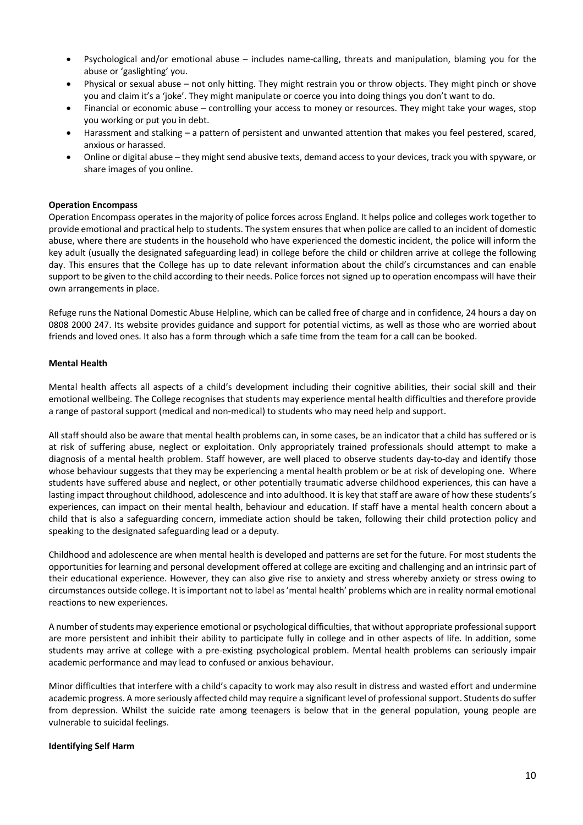- Psychological and/or emotional abuse includes name-calling, threats and manipulation, blaming you for the abuse or 'gaslighting' you.
- Physical or sexual abuse not only hitting. They might restrain you or throw objects. They might pinch or shove you and claim it's a 'joke'. They might manipulate or coerce you into doing things you don't want to do.
- Financial or economic abuse controlling your access to money or resources. They might take your wages, stop you working or put you in debt.
- Harassment and stalking a pattern of persistent and unwanted attention that makes you feel pestered, scared, anxious or harassed.
- Online or digital abuse they might send abusive texts, demand access to your devices, track you with spyware, or share images of you online.

#### **Operation Encompass**

Operation Encompass operates in the majority of police forces across England. It helps police and colleges work together to provide emotional and practical help to students. The system ensures that when police are called to an incident of domestic abuse, where there are students in the household who have experienced the domestic incident, the police will inform the key adult (usually the designated safeguarding lead) in college before the child or children arrive at college the following day. This ensures that the College has up to date relevant information about the child's circumstances and can enable support to be given to the child according to their needs. Police forces not signed up to operation encompass will have their own arrangements in place.

Refuge runs the National Domestic Abuse Helpline, which can be called free of charge and in confidence, 24 hours a day on 0808 2000 247. Its website provides guidance and support for potential victims, as well as those who are worried about friends and loved ones. It also has a form through which a safe time from the team for a call can be booked.

#### **Mental Health**

Mental health affects all aspects of a child's development including their cognitive abilities, their social skill and their emotional wellbeing. The College recognises that students may experience mental health difficulties and therefore provide a range of pastoral support (medical and non-medical) to students who may need help and support.

All staff should also be aware that mental health problems can, in some cases, be an indicator that a child has suffered or is at risk of suffering abuse, neglect or exploitation. Only appropriately trained professionals should attempt to make a diagnosis of a mental health problem. Staff however, are well placed to observe students day-to-day and identify those whose behaviour suggests that they may be experiencing a mental health problem or be at risk of developing one. Where students have suffered abuse and neglect, or other potentially traumatic adverse childhood experiences, this can have a lasting impact throughout childhood, adolescence and into adulthood. It is key that staff are aware of how these students's experiences, can impact on their mental health, behaviour and education. If staff have a mental health concern about a child that is also a safeguarding concern, immediate action should be taken, following their child protection policy and speaking to the designated safeguarding lead or a deputy.

Childhood and adolescence are when mental health is developed and patterns are set for the future. For most students the opportunities for learning and personal development offered at college are exciting and challenging and an intrinsic part of their educational experience. However, they can also give rise to anxiety and stress whereby anxiety or stress owing to circumstances outside college. It is important not to label as 'mental health' problems which are in reality normal emotional reactions to new experiences.

A number of students may experience emotional or psychological difficulties, that without appropriate professional support are more persistent and inhibit their ability to participate fully in college and in other aspects of life. In addition, some students may arrive at college with a pre-existing psychological problem. Mental health problems can seriously impair academic performance and may lead to confused or anxious behaviour.

Minor difficulties that interfere with a child's capacity to work may also result in distress and wasted effort and undermine academic progress. A more seriously affected child may require a significant level of professional support. Students do suffer from depression. Whilst the suicide rate among teenagers is below that in the general population, young people are vulnerable to suicidal feelings.

#### **Identifying Self Harm**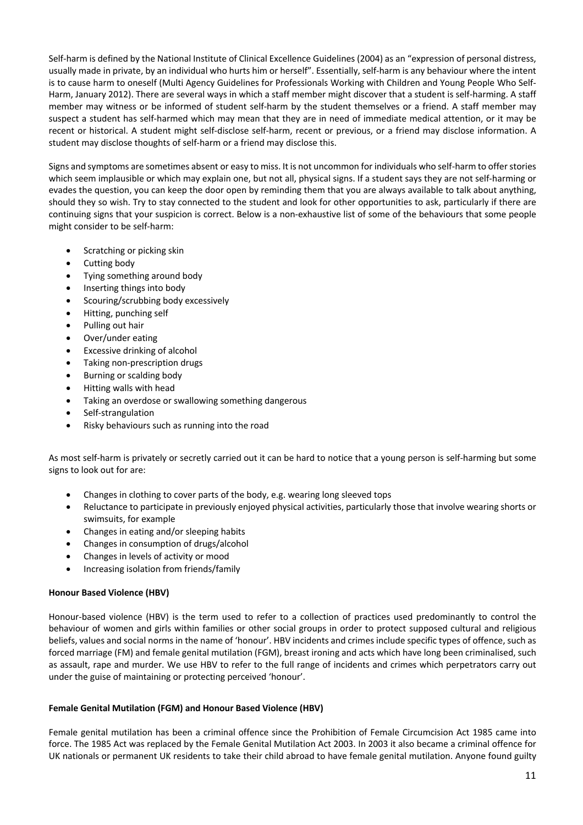Self-harm is defined by the National Institute of Clinical Excellence Guidelines (2004) as an "expression of personal distress, usually made in private, by an individual who hurts him or herself". Essentially, self-harm is any behaviour where the intent is to cause harm to oneself (Multi Agency Guidelines for Professionals Working with Children and Young People Who Self-Harm, January 2012). There are several ways in which a staff member might discover that a student is self-harming. A staff member may witness or be informed of student self-harm by the student themselves or a friend. A staff member may suspect a student has self-harmed which may mean that they are in need of immediate medical attention, or it may be recent or historical. A student might self-disclose self-harm, recent or previous, or a friend may disclose information. A student may disclose thoughts of self-harm or a friend may disclose this.

Signs and symptoms are sometimes absent or easy to miss. It is not uncommon for individuals who self-harm to offer stories which seem implausible or which may explain one, but not all, physical signs. If a student says they are not self-harming or evades the question, you can keep the door open by reminding them that you are always available to talk about anything, should they so wish. Try to stay connected to the student and look for other opportunities to ask, particularly if there are continuing signs that your suspicion is correct. Below is a non-exhaustive list of some of the behaviours that some people might consider to be self-harm:

- Scratching or picking skin
- Cutting body
- Tying something around body
- Inserting things into body
- Scouring/scrubbing body excessively
- Hitting, punching self
- Pulling out hair
- Over/under eating
- Excessive drinking of alcohol
- Taking non-prescription drugs
- Burning or scalding body
- Hitting walls with head
- Taking an overdose or swallowing something dangerous
- Self-strangulation
- Risky behaviours such as running into the road

As most self-harm is privately or secretly carried out it can be hard to notice that a young person is self-harming but some signs to look out for are:

- Changes in clothing to cover parts of the body, e.g. wearing long sleeved tops
- Reluctance to participate in previously enjoyed physical activities, particularly those that involve wearing shorts or swimsuits, for example
- Changes in eating and/or sleeping habits
- Changes in consumption of drugs/alcohol
- Changes in levels of activity or mood
- Increasing isolation from friends/family

## **Honour Based Violence (HBV)**

Honour-based violence (HBV) is the term used to refer to a collection of practices used predominantly to control the behaviour of women and girls within families or other social groups in order to protect supposed cultural and religious beliefs, values and social norms in the name of 'honour'. HBV incidents and crimes include specific types of offence, such as forced marriage (FM) and female genital mutilation (FGM), breast ironing and acts which have long been criminalised, such as assault, rape and murder. We use HBV to refer to the full range of incidents and crimes which perpetrators carry out under the guise of maintaining or protecting perceived 'honour'.

## **Female Genital Mutilation (FGM) and Honour Based Violence (HBV)**

Female genital mutilation has been a criminal offence since the Prohibition of Female Circumcision Act 1985 came into force. The 1985 Act was replaced by the Female Genital Mutilation Act 2003. In 2003 it also became a criminal offence for UK nationals or permanent UK residents to take their child abroad to have female genital mutilation. Anyone found guilty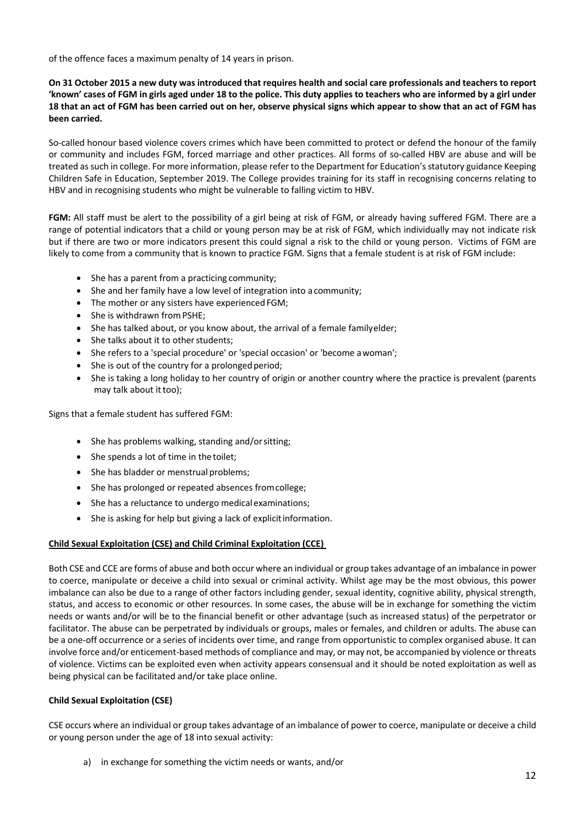of the offence faces a maximum penalty of 14 years in prison.

**On 31 October 2015 a new duty was introduced that requires health and social care professionals and teachers to report 'known' cases of FGM in girls aged under 18 to the police. This duty applies to teachers who are informed by a girl under 18 that an act of FGM has been carried out on her, observe physical signs which appear to show that an act of FGM has been carried.**

So-called honour based violence covers crimes which have been committed to protect or defend the honour of the family or community and includes FGM, forced marriage and other practices. All forms of so-called HBV are abuse and will be treated as such in college. For more information, please refer to the Department for Education's statutory guidance Keeping Children Safe in Education, September 2019. The College provides training for its staff in recognising concerns relating to HBV and in recognising students who might be vulnerable to falling victim to HBV.

**FGM:** All staff must be alert to the possibility of a girl being at risk of FGM, or already having suffered FGM. There are a range of potential indicators that a child or young person may be at risk of FGM, which individually may not indicate risk but if there are two or more indicators present this could signal a risk to the child or young person. Victims of FGM are likely to come from a community that is known to practice FGM. Signs that a female student is at risk of FGM include:

- She has a parent from a practicing community;
- She and her family have a low level of integration into acommunity;
- The mother or any sisters have experienced FGM;
- She is withdrawn from PSHE;
- She has talked about, or you know about, the arrival of a female familyelder;
- She talks about it to other students;
- She refers to a 'special procedure' or 'special occasion' or 'become awoman';
- She is out of the country for a prolonged period;
- She is taking a long holiday to her country of origin or another country where the practice is prevalent (parents may talk about it too);

Signs that a female student has suffered FGM:

- She has problems walking, standing and/orsitting;
- She spends a lot of time in the toilet:
- She has bladder or menstrual problems:
- She has prolonged or repeated absences fromcollege;
- She has a reluctance to undergo medical examinations;
- She is asking for help but giving a lack of explicit information.

#### **Child Sexual Exploitation (CSE) and Child Criminal Exploitation (CCE)**

Both CSE and CCE are forms of abuse and both occur where an individual or group takes advantage of an imbalance in power to coerce, manipulate or deceive a child into sexual or criminal activity. Whilst age may be the most obvious, this power imbalance can also be due to a range of other factors including gender, sexual identity, cognitive ability, physical strength, status, and access to economic or other resources. In some cases, the abuse will be in exchange for something the victim needs or wants and/or will be to the financial benefit or other advantage (such as increased status) of the perpetrator or facilitator. The abuse can be perpetrated by individuals or groups, males or females, and children or adults. The abuse can be a one-off occurrence or a series of incidents over time, and range from opportunistic to complex organised abuse. It can involve force and/or enticement-based methods of compliance and may, or may not, be accompanied by violence or threats of violence. Victims can be exploited even when activity appears consensual and it should be noted exploitation as well as being physical can be facilitated and/or take place online.

## **Child Sexual Exploitation (CSE)**

CSE occurs where an individual or group takes advantage of an imbalance of power to coerce, manipulate or deceive a child or young person under the age of 18 into sexual activity:

a) in exchange for something the victim needs or wants, and/or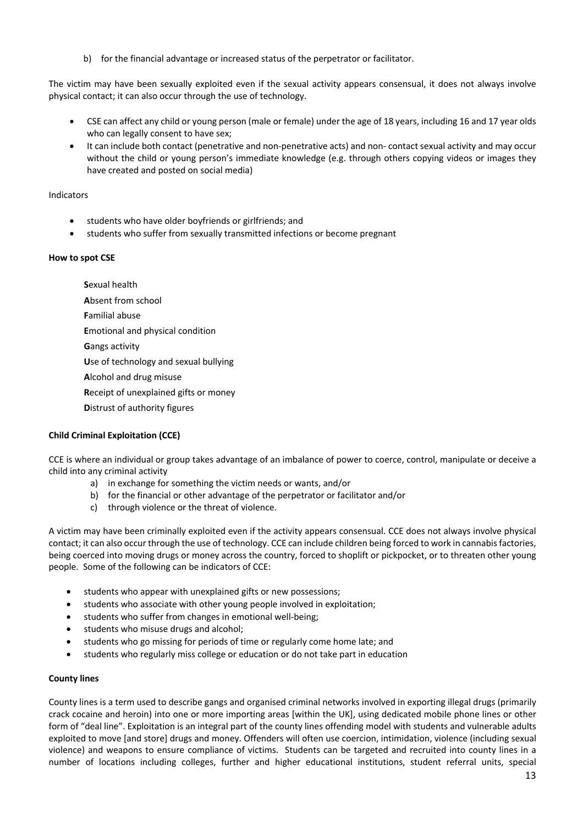b) for the financial advantage or increased status of the perpetrator or facilitator.

The victim may have been sexually exploited even if the sexual activity appears consensual, it does not always involve physical contact; it can also occur through the use of technology.

- CSE can affect any child or young person (male or female) under the age of 18 years, including 16 and 17 year olds who can legally consent to have sex;
- It can include both contact (penetrative and non-penetrative acts) and non- contact sexual activity and may occur without the child or young person's immediate knowledge (e.g. through others copying videos or images they have created and posted on social media)

#### Indicators

- students who have older boyfriends or girlfriends; and
- students who suffer from sexually transmitted infections or become pregnant

#### **How to spot CSE**

- **S**exual health
- **A**bsent from school
- **F**amilial abuse
- **E**motional and physical condition
- **G**angs activity
- Use of technology and sexual bullying
- **A**lcohol and drug misuse
- **R**eceipt of unexplained gifts or money
- **Distrust of authority figures**

#### **Child Criminal Exploitation (CCE)**

CCE is where an individual or group takes advantage of an imbalance of power to coerce, control, manipulate or deceive a child into any criminal activity

- a) in exchange for something the victim needs or wants, and/or
- b) for the financial or other advantage of the perpetrator or facilitator and/or
- c) through violence or the threat of violence.

A victim may have been criminally exploited even if the activity appears consensual. CCE does not always involve physical contact; it can also occur through the use of technology. CCE can include children being forced to work in cannabis factories, being coerced into moving drugs or money across the country, forced to shoplift or pickpocket, or to threaten other young people. Some of the following can be indicators of CCE:

- students who appear with unexplained gifts or new possessions;
- students who associate with other young people involved in exploitation;
- students who suffer from changes in emotional well-being;
- students who misuse drugs and alcohol;
- students who go missing for periods of time or regularly come home late; and
- students who regularly miss college or education or do not take part in education

#### **County lines**

County lines is a term used to describe gangs and organised criminal networks involved in exporting illegal drugs (primarily crack cocaine and heroin) into one or more importing areas [within the UK], using dedicated mobile phone lines or other form of "deal line". Exploitation is an integral part of the county lines offending model with students and vulnerable adults exploited to move [and store] drugs and money. Offenders will often use coercion, intimidation, violence (including sexual violence) and weapons to ensure compliance of victims. Students can be targeted and recruited into county lines in a number of locations including colleges, further and higher educational institutions, student referral units, special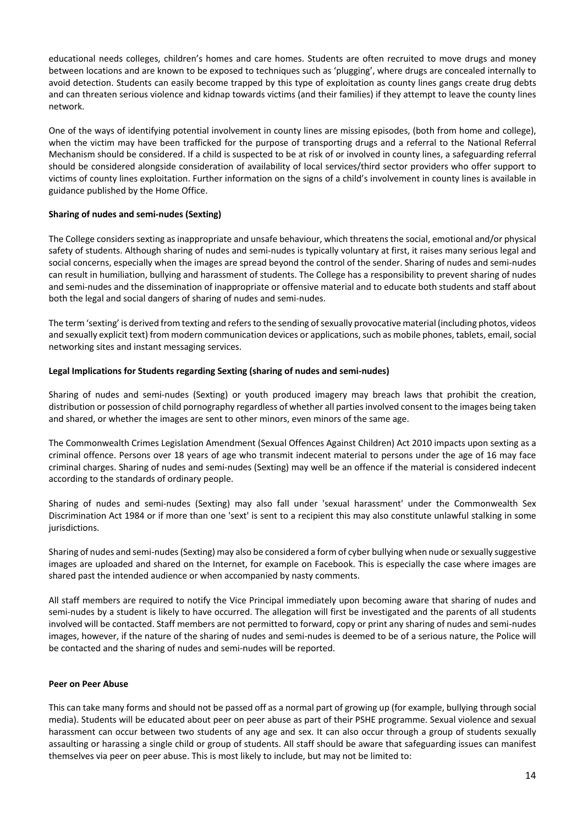educational needs colleges, children's homes and care homes. Students are often recruited to move drugs and money between locations and are known to be exposed to techniques such as 'plugging', where drugs are concealed internally to avoid detection. Students can easily become trapped by this type of exploitation as county lines gangs create drug debts and can threaten serious violence and kidnap towards victims (and their families) if they attempt to leave the county lines network.

One of the ways of identifying potential involvement in county lines are missing episodes, (both from home and college), when the victim may have been trafficked for the purpose of transporting drugs and a referral to the National Referral Mechanism should be considered. If a child is suspected to be at risk of or involved in county lines, a safeguarding referral should be considered alongside consideration of availability of local services/third sector providers who offer support to victims of county lines exploitation. Further information on the signs of a child's involvement in county lines is available in guidance published by the Home Office.

#### **Sharing of nudes and semi-nudes (Sexting)**

The College considers sexting as inappropriate and unsafe behaviour, which threatens the social, emotional and/or physical safety of students. Although sharing of nudes and semi-nudes is typically voluntary at first, it raises many serious legal and social concerns, especially when the images are spread beyond the control of the sender. Sharing of nudes and semi-nudes can result in humiliation, bullying and harassment of students. The College has a responsibility to prevent sharing of nudes and semi-nudes and the dissemination of inappropriate or offensive material and to educate both students and staff about both the legal and social dangers of sharing of nudes and semi-nudes.

The term 'sexting' is derived from texting and refers to the sending of sexually provocative material (including photos, videos and sexually explicit text) from modern communication devices or applications, such as mobile phones, tablets, email, social networking sites and instant messaging services.

#### **Legal Implications for Students regarding Sexting (sharing of nudes and semi-nudes)**

Sharing of nudes and semi-nudes (Sexting) or youth produced imagery may breach laws that prohibit the creation, distribution or possession of child pornography regardless of whether all parties involved consent to the images being taken and shared, or whether the images are sent to other minors, even minors of the same age.

The Commonwealth Crimes Legislation Amendment (Sexual Offences Against Children) Act 2010 impacts upon sexting as a criminal offence. Persons over 18 years of age who transmit indecent material to persons under the age of 16 may face criminal charges. Sharing of nudes and semi-nudes (Sexting) may well be an offence if the material is considered indecent according to the standards of ordinary people.

Sharing of nudes and semi-nudes (Sexting) may also fall under 'sexual harassment' under the Commonwealth Sex Discrimination Act 1984 or if more than one 'sext' is sent to a recipient this may also constitute unlawful stalking in some jurisdictions.

Sharing of nudes and semi-nudes (Sexting) may also be considered a form of cyber bullying when nude or sexually suggestive images are uploaded and shared on the Internet, for example on Facebook. This is especially the case where images are shared past the intended audience or when accompanied by nasty comments.

All staff members are required to notify the Vice Principal immediately upon becoming aware that sharing of nudes and semi-nudes by a student is likely to have occurred. The allegation will first be investigated and the parents of all students involved will be contacted. Staff members are not permitted to forward, copy or print any sharing of nudes and semi-nudes images, however, if the nature of the sharing of nudes and semi-nudes is deemed to be of a serious nature, the Police will be contacted and the sharing of nudes and semi-nudes will be reported.

#### **Peer on Peer Abuse**

This can take many forms and should not be passed off as a normal part of growing up (for example, bullying through social media). Students will be educated about peer on peer abuse as part of their PSHE programme. Sexual violence and sexual harassment can occur between two students of any age and sex. It can also occur through a group of students sexually assaulting or harassing a single child or group of students. All staff should be aware that safeguarding issues can manifest themselves via peer on peer abuse. This is most likely to include, but may not be limited to: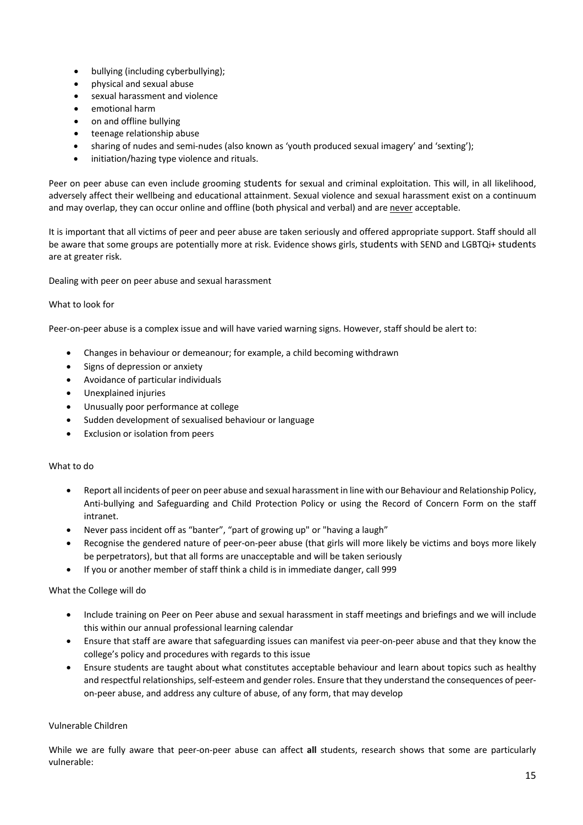- bullying (including cyberbullying);
- physical and sexual abuse
- sexual harassment and violence
- emotional harm
- on and offline bullying
- teenage relationship abuse
- sharing of nudes and semi-nudes (also known as 'youth produced sexual imagery' and 'sexting');
- initiation/hazing type violence and rituals.

Peer on peer abuse can even include grooming students for sexual and criminal exploitation. This will, in all likelihood, adversely affect their wellbeing and educational attainment. Sexual violence and sexual harassment exist on a continuum and may overlap, they can occur online and offline (both physical and verbal) and are never acceptable.

It is important that all victims of peer and peer abuse are taken seriously and offered appropriate support. Staff should all be aware that some groups are potentially more at risk. Evidence shows girls, students with SEND and LGBTQi+ students are at greater risk.

Dealing with peer on peer abuse and sexual harassment

#### What to look for

Peer-on-peer abuse is a complex issue and will have varied warning signs. However, staff should be alert to:

- Changes in behaviour or demeanour; for example, a child becoming withdrawn
- Signs of depression or anxiety
- Avoidance of particular individuals
- Unexplained injuries
- Unusually poor performance at college
- Sudden development of sexualised behaviour or language
- Exclusion or isolation from peers

#### What to do

- Report all incidents of peer on peer abuse and sexual harassment in line with our Behaviour and Relationship Policy, Anti-bullying and Safeguarding and Child Protection Policy or using the Record of Concern Form on the staff intranet.
- Never pass incident off as "banter", "part of growing up" or "having a laugh"
- Recognise the gendered nature of peer-on-peer abuse (that girls will more likely be victims and boys more likely be perpetrators), but that all forms are unacceptable and will be taken seriously
- If you or another member of staff think a child is in immediate danger, call 999

What the College will do

- Include training on Peer on Peer abuse and sexual harassment in staff meetings and briefings and we will include this within our annual professional learning calendar
- Ensure that staff are aware that safeguarding issues can manifest via peer-on-peer abuse and that they know the college's policy and procedures with regards to this issue
- Ensure students are taught about what constitutes acceptable behaviour and learn about topics such as healthy and respectful relationships, self-esteem and gender roles. Ensure that they understand the consequences of peeron-peer abuse, and address any culture of abuse, of any form, that may develop

## Vulnerable Children

While we are fully aware that peer-on-peer abuse can affect **all** students, research shows that some are particularly vulnerable: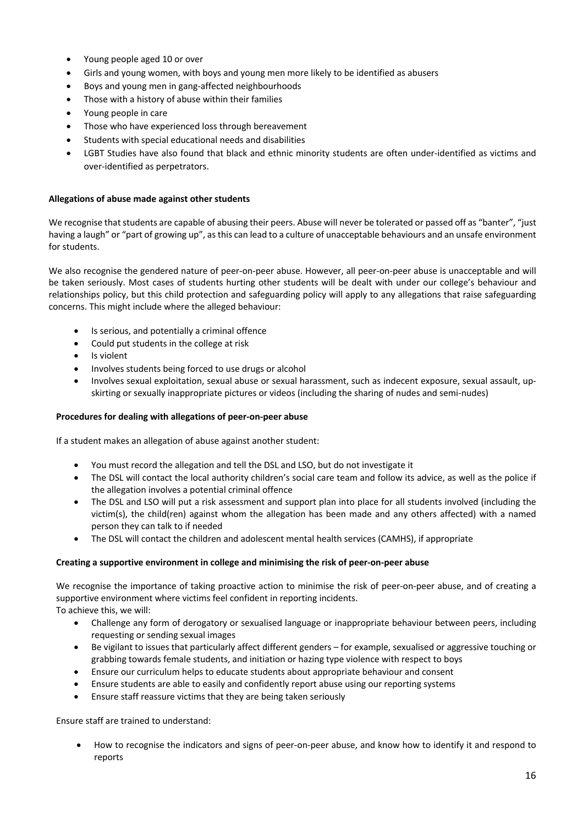- Young people aged 10 or over
- Girls and young women, with boys and young men more likely to be identified as abusers
- Boys and young men in gang-affected neighbourhoods
- Those with a history of abuse within their families
- Young people in care
- Those who have experienced loss through bereavement
- Students with special educational needs and disabilities
- LGBT Studies have also found that black and ethnic minority students are often under-identified as victims and over-identified as perpetrators.

#### **Allegations of abuse made against other students**

We recognise that students are capable of abusing their peers. Abuse will never be tolerated or passed off as "banter", "just having a laugh" or "part of growing up", as this can lead to a culture of unacceptable behaviours and an unsafe environment for students.

We also recognise the gendered nature of peer-on-peer abuse. However, all peer-on-peer abuse is unacceptable and will be taken seriously. Most cases of students hurting other students will be dealt with under our college's behaviour and relationships policy, but this child protection and safeguarding policy will apply to any allegations that raise safeguarding concerns. This might include where the alleged behaviour:

- Is serious, and potentially a criminal offence
- Could put students in the college at risk
- Is violent
- Involves students being forced to use drugs or alcohol
- Involves sexual exploitation, sexual abuse or sexual harassment, such as indecent exposure, sexual assault, upskirting or sexually inappropriate pictures or videos (including the sharing of nudes and semi-nudes)

#### **Procedures for dealing with allegations of peer-on-peer abuse**

If a student makes an allegation of abuse against another student:

- You must record the allegation and tell the DSL and LSO, but do not investigate it
- The DSL will contact the local authority children's social care team and follow its advice, as well as the police if the allegation involves a potential criminal offence
- The DSL and LSO will put a risk assessment and support plan into place for all students involved (including the victim(s), the child(ren) against whom the allegation has been made and any others affected) with a named person they can talk to if needed
- The DSL will contact the children and adolescent mental health services (CAMHS), if appropriate

## **Creating a supportive environment in college and minimising the risk of peer-on-peer abuse**

We recognise the importance of taking proactive action to minimise the risk of peer-on-peer abuse, and of creating a supportive environment where victims feel confident in reporting incidents.

To achieve this, we will:

- Challenge any form of derogatory or sexualised language or inappropriate behaviour between peers, including requesting or sending sexual images
- Be vigilant to issues that particularly affect different genders for example, sexualised or aggressive touching or grabbing towards female students, and initiation or hazing type violence with respect to boys
- Ensure our curriculum helps to educate students about appropriate behaviour and consent
- Ensure students are able to easily and confidently report abuse using our reporting systems
- Ensure staff reassure victims that they are being taken seriously

Ensure staff are trained to understand:

• How to recognise the indicators and signs of peer-on-peer abuse, and know how to identify it and respond to reports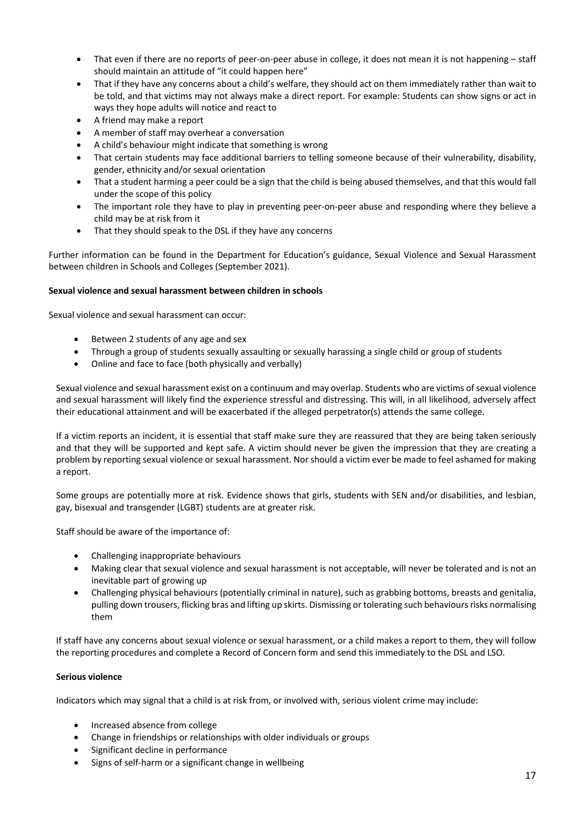- That even if there are no reports of peer-on-peer abuse in college, it does not mean it is not happening staff should maintain an attitude of "it could happen here"
- That if they have any concerns about a child's welfare, they should act on them immediately rather than wait to be told, and that victims may not always make a direct report. For example: Students can show signs or act in ways they hope adults will notice and react to
- A friend may make a report
- A member of staff may overhear a conversation
- A child's behaviour might indicate that something is wrong
- That certain students may face additional barriers to telling someone because of their vulnerability, disability, gender, ethnicity and/or sexual orientation
- That a student harming a peer could be a sign that the child is being abused themselves, and that this would fall under the scope of this policy
- The important role they have to play in preventing peer-on-peer abuse and responding where they believe a child may be at risk from it
- That they should speak to the DSL if they have any concerns

Further information can be found in the Department for Education's guidance, Sexual Violence and Sexual Harassment between children in Schools and Colleges (September 2021).

#### **Sexual violence and sexual harassment between children in schools**

Sexual violence and sexual harassment can occur:

- Between 2 students of any age and sex
- Through a group of students sexually assaulting or sexually harassing a single child or group of students
- Online and face to face (both physically and verbally)

Sexual violence and sexual harassment exist on a continuum and may overlap. Students who are victims of sexual violence and sexual harassment will likely find the experience stressful and distressing. This will, in all likelihood, adversely affect their educational attainment and will be exacerbated if the alleged perpetrator(s) attends the same college.

If a victim reports an incident, it is essential that staff make sure they are reassured that they are being taken seriously and that they will be supported and kept safe. A victim should never be given the impression that they are creating a problem by reporting sexual violence or sexual harassment. Nor should a victim ever be made to feel ashamed for making a report.

Some groups are potentially more at risk. Evidence shows that girls, students with SEN and/or disabilities, and lesbian, gay, bisexual and transgender (LGBT) students are at greater risk.

Staff should be aware of the importance of:

- Challenging inappropriate behaviours
- Making clear that sexual violence and sexual harassment is not acceptable, will never be tolerated and is not an inevitable part of growing up
- Challenging physical behaviours (potentially criminal in nature), such as grabbing bottoms, breasts and genitalia, pulling down trousers, flicking bras and lifting up skirts. Dismissing or tolerating such behaviours risks normalising them

If staff have any concerns about sexual violence or sexual harassment, or a child makes a report to them, they will follow the reporting procedures and complete a Record of Concern form and send this immediately to the DSL and LSO.

#### **Serious violence**

Indicators which may signal that a child is at risk from, or involved with, serious violent crime may include:

- Increased absence from college
- Change in friendships or relationships with older individuals or groups
- Significant decline in performance
- Signs of self-harm or a significant change in wellbeing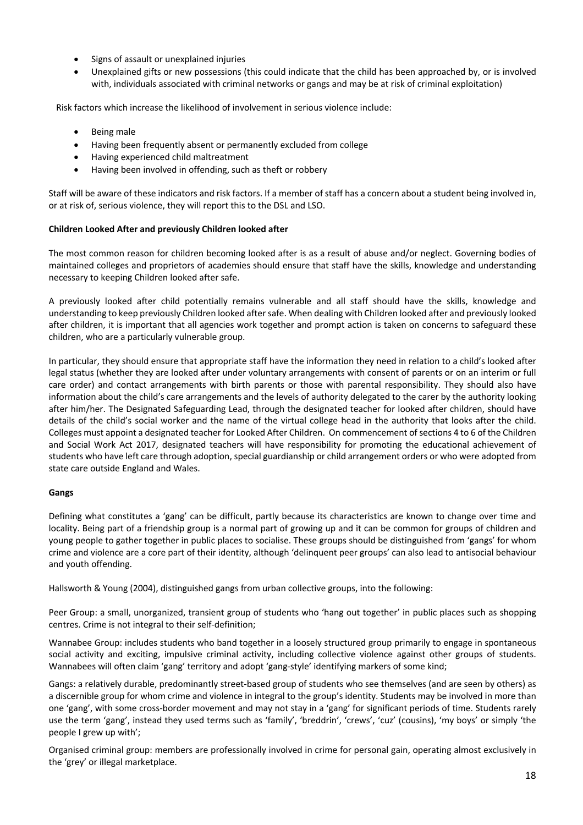- Signs of assault or unexplained injuries
- Unexplained gifts or new possessions (this could indicate that the child has been approached by, or is involved with, individuals associated with criminal networks or gangs and may be at risk of criminal exploitation)

Risk factors which increase the likelihood of involvement in serious violence include:

- Being male
- Having been frequently absent or permanently excluded from college
- Having experienced child maltreatment
- Having been involved in offending, such as theft or robbery

Staff will be aware of these indicators and risk factors. If a member of staff has a concern about a student being involved in, or at risk of, serious violence, they will report this to the DSL and LSO.

#### **Children Looked After and previously Children looked after**

The most common reason for children becoming looked after is as a result of abuse and/or neglect. Governing bodies of maintained colleges and proprietors of academies should ensure that staff have the skills, knowledge and understanding necessary to keeping Children looked after safe.

A previously looked after child potentially remains vulnerable and all staff should have the skills, knowledge and understanding to keep previously Children looked after safe. When dealing with Children looked after and previously looked after children, it is important that all agencies work together and prompt action is taken on concerns to safeguard these children, who are a particularly vulnerable group.

In particular, they should ensure that appropriate staff have the information they need in relation to a child's looked after legal status (whether they are looked after under voluntary arrangements with consent of parents or on an interim or full care order) and contact arrangements with birth parents or those with parental responsibility. They should also have information about the child's care arrangements and the levels of authority delegated to the carer by the authority looking after him/her. The Designated Safeguarding Lead, through the designated teacher for looked after children, should have details of the child's social worker and the name of the virtual college head in the authority that looks after the child. Colleges must appoint a designated teacher for Looked After Children. On commencement of sections 4 to 6 of the Children and Social Work Act 2017, designated teachers will have responsibility for promoting the educational achievement of students who have left care through adoption, special guardianship or child arrangement orders or who were adopted from state care outside England and Wales.

#### **Gangs**

Defining what constitutes a 'gang' can be difficult, partly because its characteristics are known to change over time and locality. Being part of a friendship group is a normal part of growing up and it can be common for groups of children and young people to gather together in public places to socialise. These groups should be distinguished from 'gangs' for whom crime and violence are a core part of their identity, although 'delinquent peer groups' can also lead to antisocial behaviour and youth offending.

Hallsworth & Young (2004), distinguished gangs from urban collective groups, into the following:

Peer Group: a small, unorganized, transient group of students who 'hang out together' in public places such as shopping centres. Crime is not integral to their self-definition;

Wannabee Group: includes students who band together in a loosely structured group primarily to engage in spontaneous social activity and exciting, impulsive criminal activity, including collective violence against other groups of students. Wannabees will often claim 'gang' territory and adopt 'gang-style' identifying markers of some kind;

Gangs: a relatively durable, predominantly street-based group of students who see themselves (and are seen by others) as a discernible group for whom crime and violence in integral to the group's identity. Students may be involved in more than one 'gang', with some cross-border movement and may not stay in a 'gang' for significant periods of time. Students rarely use the term 'gang', instead they used terms such as 'family', 'breddrin', 'crews', 'cuz' (cousins), 'my boys' or simply 'the people I grew up with';

Organised criminal group: members are professionally involved in crime for personal gain, operating almost exclusively in the 'grey' or illegal marketplace.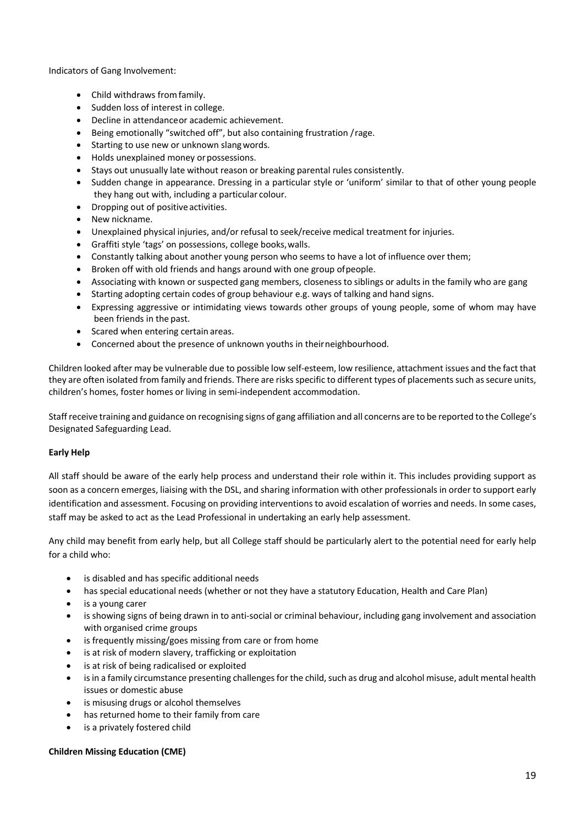Indicators of Gang Involvement:

- Child withdraws fromfamily.
- Sudden loss of interest in college.
- Decline in attendanceor academic achievement.
- Being emotionally "switched off", but also containing frustration /rage.
- Starting to use new or unknown slangwords.
- Holds unexplained money orpossessions.
- Stays out unusually late without reason or breaking parental rules consistently.
- Sudden change in appearance. Dressing in a particular style or 'uniform' similar to that of other young people they hang out with, including a particular colour.
- Dropping out of positiveactivities.
- New nickname.
- Unexplained physical injuries, and/or refusal to seek/receive medical treatment for injuries.
- Graffiti style 'tags' on possessions, college books,walls.
- Constantly talking about another young person who seems to have a lot of influence over them;
- Broken off with old friends and hangs around with one group ofpeople.
- Associating with known or suspected gang members, closenessto siblings or adults in the family who are gang
- Starting adopting certain codes of group behaviour e.g. ways of talking and hand signs.
- Expressing aggressive or intimidating views towards other groups of young people, some of whom may have been friends in the past.
- Scared when entering certain areas.
- Concerned about the presence of unknown youths in theirneighbourhood.

Children looked after may be vulnerable due to possible low self-esteem, low resilience, attachment issues and the fact that they are often isolated from family and friends. There are risks specific to different types of placements such as secure units, children's homes, foster homes or living in semi-independent accommodation.

Staff receive training and guidance on recognising signs of gang affiliation and all concerns are to be reported to the College's Designated Safeguarding Lead.

#### **Early Help**

All staff should be aware of the early help process and understand their role within it. This includes providing support as soon as a concern emerges, liaising with the DSL, and sharing information with other professionals in order to support early identification and assessment. Focusing on providing interventions to avoid escalation of worries and needs. In some cases, staff may be asked to act as the Lead Professional in undertaking an early help assessment.

Any child may benefit from early help, but all College staff should be particularly alert to the potential need for early help for a child who:

- is disabled and has specific additional needs
- has special educational needs (whether or not they have a statutory Education, Health and Care Plan)
- is a young carer
- is showing signs of being drawn in to anti-social or criminal behaviour, including gang involvement and association with organised crime groups
- is frequently missing/goes missing from care or from home
- is at risk of modern slavery, trafficking or exploitation
- is at risk of being radicalised or exploited
- is in a family circumstance presenting challenges for the child, such as drug and alcohol misuse, adult mental health issues or domestic abuse
- is misusing drugs or alcohol themselves
- has returned home to their family from care
- is a privately fostered child

#### **Children Missing Education (CME)**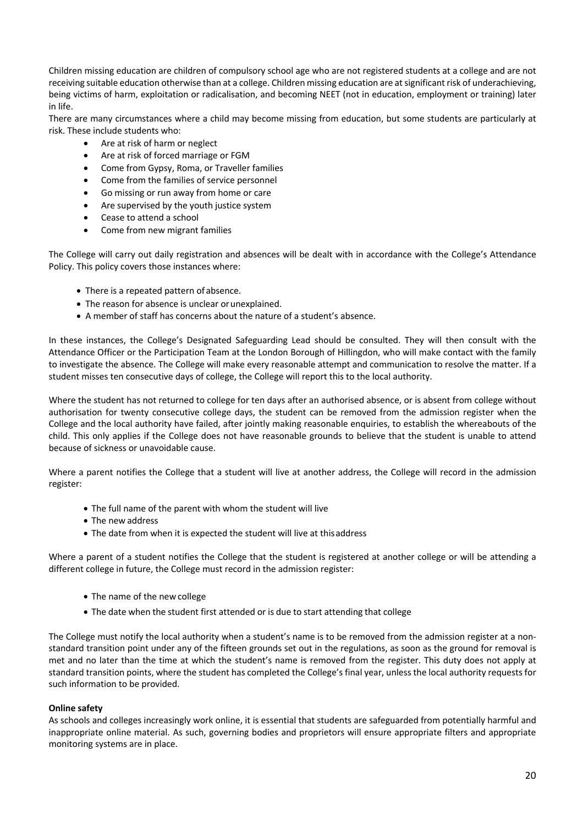Children missing education are children of compulsory school age who are not registered students at a college and are not receiving suitable education otherwise than at a college. Children missing education are at significant risk of underachieving, being victims of harm, exploitation or radicalisation, and becoming NEET (not in education, employment or training) later in life.

There are many circumstances where a child may become missing from education, but some students are particularly at risk. These include students who:

- Are at risk of harm or neglect
- Are at risk of forced marriage or FGM
- Come from Gypsy, Roma, or Traveller families
- Come from the families of service personnel
- Go missing or run away from home or care
- Are supervised by the youth justice system
- Cease to attend a school
- Come from new migrant families

The College will carry out daily registration and absences will be dealt with in accordance with the College's Attendance Policy. This policy covers those instances where:

- There is a repeated pattern of absence.
- The reason for absence is unclear orunexplained.
- A member of staff has concerns about the nature of a student's absence.

In these instances, the College's Designated Safeguarding Lead should be consulted. They will then consult with the Attendance Officer or the Participation Team at the London Borough of Hillingdon, who will make contact with the family to investigate the absence. The College will make every reasonable attempt and communication to resolve the matter. If a student misses ten consecutive days of college, the College will report this to the local authority.

Where the student has not returned to college for ten days after an authorised absence, or is absent from college without authorisation for twenty consecutive college days, the student can be removed from the admission register when the College and the local authority have failed, after jointly making reasonable enquiries, to establish the whereabouts of the child. This only applies if the College does not have reasonable grounds to believe that the student is unable to attend because of sickness or unavoidable cause.

Where a parent notifies the College that a student will live at another address, the College will record in the admission register:

- The full name of the parent with whom the student will live
- The new address
- The date from when it is expected the student will live at thisaddress

Where a parent of a student notifies the College that the student is registered at another college or will be attending a different college in future, the College must record in the admission register:

- The name of the new college
- The date when the student first attended or is due to start attending that college

The College must notify the local authority when a student's name is to be removed from the admission register at a nonstandard transition point under any of the fifteen grounds set out in the regulations, as soon as the ground for removal is met and no later than the time at which the student's name is removed from the register. This duty does not apply at standard transition points, where the student has completed the College's final year, unless the local authority requests for such information to be provided.

#### **Online safety**

As schools and colleges increasingly work online, it is essential that students are safeguarded from potentially harmful and inappropriate online material. As such, governing bodies and proprietors will ensure appropriate filters and appropriate monitoring systems are in place.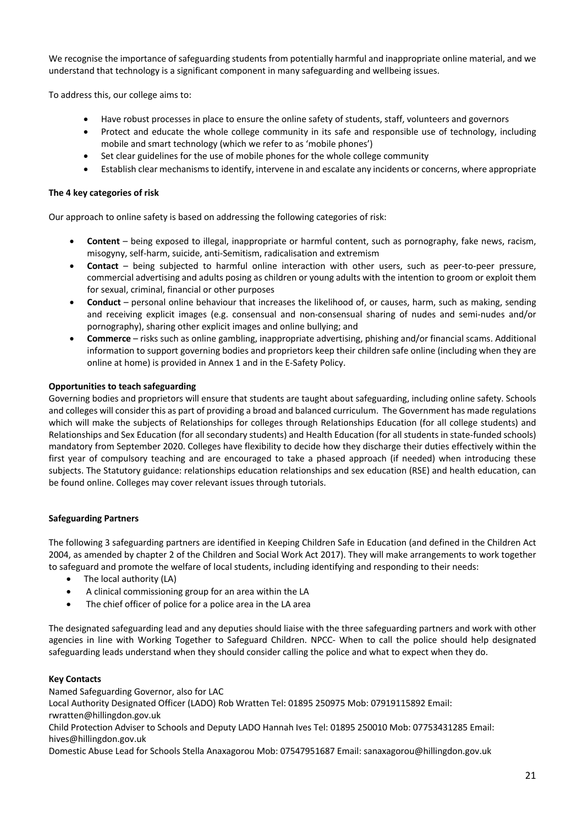We recognise the importance of safeguarding students from potentially harmful and inappropriate online material, and we understand that technology is a significant component in many safeguarding and wellbeing issues.

To address this, our college aims to:

- Have robust processes in place to ensure the online safety of students, staff, volunteers and governors
- Protect and educate the whole college community in its safe and responsible use of technology, including mobile and smart technology (which we refer to as 'mobile phones')
- Set clear guidelines for the use of mobile phones for the whole college community
- Establish clear mechanisms to identify, intervene in and escalate any incidents or concerns, where appropriate

#### **The 4 key categories of risk**

Our approach to online safety is based on addressing the following categories of risk:

- **Content** being exposed to illegal, inappropriate or harmful content, such as pornography, fake news, racism, misogyny, self-harm, suicide, anti-Semitism, radicalisation and extremism
- **Contact** being subjected to harmful online interaction with other users, such as peer-to-peer pressure, commercial advertising and adults posing as children or young adults with the intention to groom or exploit them for sexual, criminal, financial or other purposes
- **Conduct** personal online behaviour that increases the likelihood of, or causes, harm, such as making, sending and receiving explicit images (e.g. consensual and non-consensual sharing of nudes and semi-nudes and/or pornography), sharing other explicit images and online bullying; and
- **Commerce** risks such as online gambling, inappropriate advertising, phishing and/or financial scams. Additional information to support governing bodies and proprietors keep their children safe online (including when they are online at home) is provided in Annex 1 and in the E-Safety Policy.

#### **Opportunities to teach safeguarding**

Governing bodies and proprietors will ensure that students are taught about safeguarding, including online safety. Schools and colleges will consider this as part of providing a broad and balanced curriculum. The Government has made regulations which will make the subjects of Relationships for colleges through Relationships Education (for all college students) and Relationships and Sex Education (for all secondary students) and Health Education (for all students in state-funded schools) mandatory from September 2020. Colleges have flexibility to decide how they discharge their duties effectively within the first year of compulsory teaching and are encouraged to take a phased approach (if needed) when introducing these subjects. The Statutory guidance: relationships education relationships and sex education (RSE) and health education, can be found online. Colleges may cover relevant issues through tutorials.

#### **Safeguarding Partners**

The following 3 safeguarding partners are identified in Keeping Children Safe in Education (and defined in the Children Act 2004, as amended by chapter 2 of the Children and Social Work Act 2017). They will make arrangements to work together to safeguard and promote the welfare of local students, including identifying and responding to their needs:

- The local authority (LA)
- A clinical commissioning group for an area within the LA
- The chief officer of police for a police area in the LA area

The designated safeguarding lead and any deputies should liaise with the three safeguarding partners and work with other agencies in line with Working Together to Safeguard Children. NPCC- When to call the police should help designated safeguarding leads understand when they should consider calling the police and what to expect when they do.

#### **Key Contacts**

Named Safeguarding Governor, also for LAC

Local Authority Designated Officer (LADO) Rob Wratten Tel: 01895 250975 Mob: 07919115892 Email: rwratten@hillingdon.gov.uk

Child Protection Adviser to Schools and Deputy LADO Hannah Ives Tel: 01895 250010 Mob: 07753431285 Email: hives@hillingdon.gov.uk

Domestic Abuse Lead for Schools Stella Anaxagorou Mob: 07547951687 Email: sanaxagorou@hillingdon.gov.uk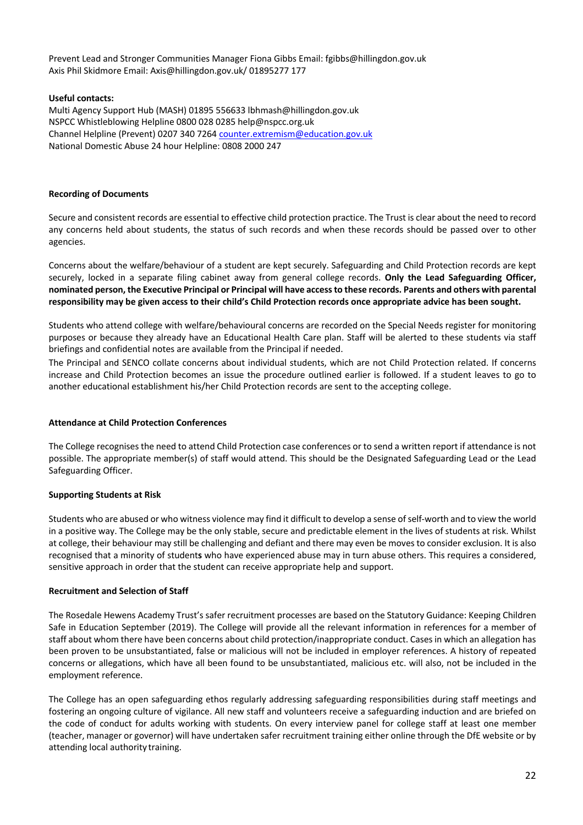Prevent Lead and Stronger Communities Manager Fiona Gibbs Email: fgibbs@hillingdon.gov.uk Axis Phil Skidmore Email: Axis@hillingdon.gov.uk/ 01895277 177

#### **Useful contacts:**

Multi Agency Support Hub (MASH) 01895 556633 lbhmash@hillingdon.gov.uk NSPCC Whistleblowing Helpline 0800 028 0285 help@nspcc.org.uk Channel Helpline (Prevent) 0207 340 7264 counter.extremism@education.gov.uk National Domestic Abuse 24 hour Helpline: 0808 2000 247

#### **Recording of Documents**

Secure and consistent records are essential to effective child protection practice. The Trust is clear about the need to record any concerns held about students, the status of such records and when these records should be passed over to other agencies.

Concerns about the welfare/behaviour of a student are kept securely. Safeguarding and Child Protection records are kept securely, locked in a separate filing cabinet away from general college records. **Only the Lead Safeguarding Officer, nominated person, the Executive Principal or Principal will have access to these records. Parents and others with parental responsibility may be given access to their child's Child Protection records once appropriate advice has been sought.**

Students who attend college with welfare/behavioural concerns are recorded on the Special Needs register for monitoring purposes or because they already have an Educational Health Care plan. Staff will be alerted to these students via staff briefings and confidential notes are available from the Principal if needed.

The Principal and SENCO collate concerns about individual students, which are not Child Protection related. If concerns increase and Child Protection becomes an issue the procedure outlined earlier is followed. If a student leaves to go to another educational establishment his/her Child Protection records are sent to the accepting college.

## **Attendance at Child Protection Conferences**

The College recognises the need to attend Child Protection case conferences or to send a written report if attendance is not possible. The appropriate member(s) of staff would attend. This should be the Designated Safeguarding Lead or the Lead Safeguarding Officer.

## **Supporting Students at Risk**

Students who are abused or who witness violence may find it difficult to develop a sense of self-worth and to view the world in a positive way. The College may be the only stable, secure and predictable element in the lives of students at risk. Whilst at college, their behaviour may still be challenging and defiant and there may even be moves to consider exclusion. It is also recognised that a minority of student**s** who have experienced abuse may in turn abuse others. This requires a considered, sensitive approach in order that the student can receive appropriate help and support.

#### **Recruitment and Selection of Staff**

The Rosedale Hewens Academy Trust's safer recruitment processes are based on the Statutory Guidance: Keeping Children Safe in Education September (2019). The College will provide all the relevant information in references for a member of staff about whom there have been concerns about child protection/inappropriate conduct. Cases in which an allegation has been proven to be unsubstantiated, false or malicious will not be included in employer references. A history of repeated concerns or allegations, which have all been found to be unsubstantiated, malicious etc. will also, not be included in the employment reference.

The College has an open safeguarding ethos regularly addressing safeguarding responsibilities during staff meetings and fostering an ongoing culture of vigilance. All new staff and volunteers receive a safeguarding induction and are briefed on the code of conduct for adults working with students. On every interview panel for college staff at least one member (teacher, manager or governor) will have undertaken safer recruitment training either online through the DfE website or by attending local authority training.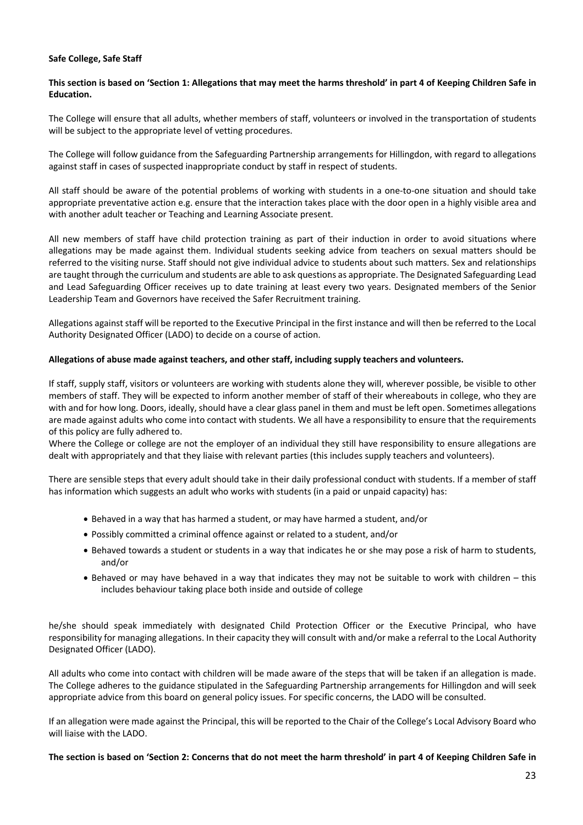#### **Safe College, Safe Staff**

#### **This section is based on 'Section 1: Allegations that may meet the harms threshold' in part 4 of Keeping Children Safe in Education.**

The College will ensure that all adults, whether members of staff, volunteers or involved in the transportation of students will be subject to the appropriate level of vetting procedures.

The College will follow guidance from the Safeguarding Partnership arrangements for Hillingdon, with regard to allegations against staff in cases of suspected inappropriate conduct by staff in respect of students.

All staff should be aware of the potential problems of working with students in a one-to-one situation and should take appropriate preventative action e.g. ensure that the interaction takes place with the door open in a highly visible area and with another adult teacher or Teaching and Learning Associate present.

All new members of staff have child protection training as part of their induction in order to avoid situations where allegations may be made against them. Individual students seeking advice from teachers on sexual matters should be referred to the visiting nurse. Staff should not give individual advice to students about such matters. Sex and relationships are taught through the curriculum and students are able to ask questions as appropriate. The Designated Safeguarding Lead and Lead Safeguarding Officer receives up to date training at least every two years. Designated members of the Senior Leadership Team and Governors have received the Safer Recruitment training.

Allegations against staff will be reported to the Executive Principal in the first instance and will then be referred to the Local Authority Designated Officer (LADO) to decide on a course of action.

#### **Allegations of abuse made against teachers, and other staff, including supply teachers and volunteers.**

If staff, supply staff, visitors or volunteers are working with students alone they will, wherever possible, be visible to other members of staff. They will be expected to inform another member of staff of their whereabouts in college, who they are with and for how long. Doors, ideally, should have a clear glass panel in them and must be left open. Sometimes allegations are made against adults who come into contact with students. We all have a responsibility to ensure that the requirements of this policy are fully adhered to.

Where the College or college are not the employer of an individual they still have responsibility to ensure allegations are dealt with appropriately and that they liaise with relevant parties (this includes supply teachers and volunteers).

There are sensible steps that every adult should take in their daily professional conduct with students. If a member of staff has information which suggests an adult who works with students (in a paid or unpaid capacity) has:

- Behaved in a way that has harmed a student, or may have harmed a student, and/or
- Possibly committed a criminal offence against or related to a student, and/or
- Behaved towards a student or students in a way that indicates he or she may pose a risk of harm to students, and/or
- Behaved or may have behaved in a way that indicates they may not be suitable to work with children this includes behaviour taking place both inside and outside of college

he/she should speak immediately with designated Child Protection Officer or the Executive Principal, who have responsibility for managing allegations. In their capacity they will consult with and/or make a referral to the Local Authority Designated Officer (LADO).

All adults who come into contact with children will be made aware of the steps that will be taken if an allegation is made. The College adheres to the guidance stipulated in the Safeguarding Partnership arrangements for Hillingdon and will seek appropriate advice from this board on general policy issues. For specific concerns, the LADO will be consulted.

If an allegation were made against the Principal, this will be reported to the Chair of the College's Local Advisory Board who will liaise with the LADO.

**The section is based on 'Section 2: Concerns that do not meet the harm threshold' in part 4 of Keeping Children Safe in**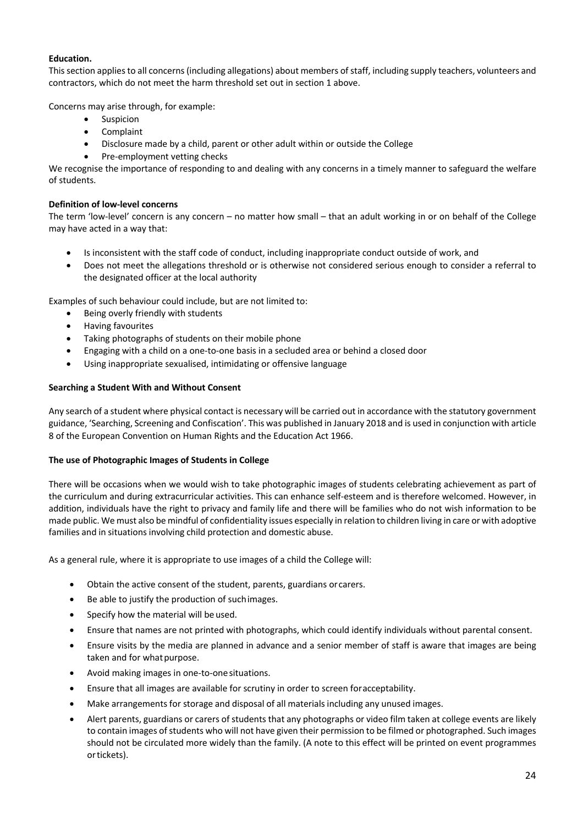#### **Education.**

This section applies to all concerns (including allegations) about members of staff, including supply teachers, volunteers and contractors, which do not meet the harm threshold set out in section 1 above.

Concerns may arise through, for example:

- Suspicion
- Complaint
- Disclosure made by a child, parent or other adult within or outside the College
- Pre-employment vetting checks

We recognise the importance of responding to and dealing with any concerns in a timely manner to safeguard the welfare of students.

#### **Definition of low-level concerns**

The term 'low-level' concern is any concern – no matter how small – that an adult working in or on behalf of the College may have acted in a way that:

- Is inconsistent with the staff code of conduct, including inappropriate conduct outside of work, and
- Does not meet the allegations threshold or is otherwise not considered serious enough to consider a referral to the designated officer at the local authority

Examples of such behaviour could include, but are not limited to:

- Being overly friendly with students
- Having favourites
- Taking photographs of students on their mobile phone
- Engaging with a child on a one-to-one basis in a secluded area or behind a closed door
- Using inappropriate sexualised, intimidating or offensive language

#### **Searching a Student With and Without Consent**

Any search of a student where physical contact is necessary will be carried out in accordance with the statutory government guidance, 'Searching, Screening and Confiscation'. This was published in January 2018 and is used in conjunction with article 8 of the European Convention on Human Rights and the Education Act 1966.

#### **The use of Photographic Images of Students in College**

There will be occasions when we would wish to take photographic images of students celebrating achievement as part of the curriculum and during extracurricular activities. This can enhance self-esteem and is therefore welcomed. However, in addition, individuals have the right to privacy and family life and there will be families who do not wish information to be made public. We must also be mindful of confidentiality issues especially in relation to children living in care or with adoptive families and in situations involving child protection and domestic abuse.

As a general rule, where it is appropriate to use images of a child the College will:

- Obtain the active consent of the student, parents, guardians orcarers.
- Be able to justify the production of suchimages.
- Specify how the material will be used.
- Ensure that names are not printed with photographs, which could identify individuals without parental consent.
- Ensure visits by the media are planned in advance and a senior member of staff is aware that images are being taken and for what purpose.
- Avoid making images in one-to-onesituations.
- Ensure that all images are available for scrutiny in order to screen foracceptability.
- Make arrangements for storage and disposal of all materials including any unused images.
- Alert parents, guardians or carers of students that any photographs or video film taken at college events are likely to contain images of students who will not have given their permission to be filmed or photographed. Such images should not be circulated more widely than the family. (A note to this effect will be printed on event programmes ortickets).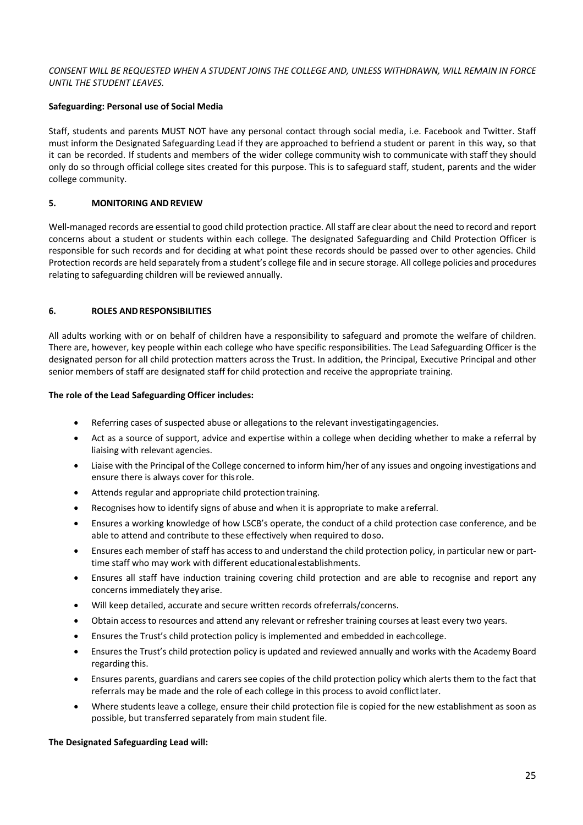#### *CONSENT WILL BE REQUESTED WHEN A STUDENT JOINS THE COLLEGE AND, UNLESS WITHDRAWN, WILL REMAIN IN FORCE UNTIL THE STUDENT LEAVES.*

## **Safeguarding: Personal use of Social Media**

Staff, students and parents MUST NOT have any personal contact through social media, i.e. Facebook and Twitter. Staff must inform the Designated Safeguarding Lead if they are approached to befriend a student or parent in this way, so that it can be recorded. If students and members of the wider college community wish to communicate with staff they should only do so through official college sites created for this purpose. This is to safeguard staff, student, parents and the wider college community.

#### **5. MONITORING ANDREVIEW**

Well-managed records are essential to good child protection practice. All staff are clear about the need to record and report concerns about a student or students within each college. The designated Safeguarding and Child Protection Officer is responsible for such records and for deciding at what point these records should be passed over to other agencies. Child Protection records are held separately from a student's college file and in secure storage. All college policies and procedures relating to safeguarding children will be reviewed annually.

#### **6. ROLES ANDRESPONSIBILITIES**

All adults working with or on behalf of children have a responsibility to safeguard and promote the welfare of children. There are, however, key people within each college who have specific responsibilities. The Lead Safeguarding Officer is the designated person for all child protection matters across the Trust. In addition, the Principal, Executive Principal and other senior members of staff are designated staff for child protection and receive the appropriate training.

#### **The role of the Lead Safeguarding Officer includes:**

- Referring cases of suspected abuse or allegations to the relevant investigatingagencies.
- Act as a source of support, advice and expertise within a college when deciding whether to make a referral by liaising with relevant agencies.
- Liaise with the Principal of the College concerned to inform him/her of any issues and ongoing investigations and ensure there is always cover for thisrole.
- Attends regular and appropriate child protection training.
- Recognises how to identify signs of abuse and when it is appropriate to make a referral.
- Ensures a working knowledge of how LSCB's operate, the conduct of a child protection case conference, and be able to attend and contribute to these effectively when required to doso.
- Ensures each member of staff has access to and understand the child protection policy, in particular new or parttime staff who may work with different educationalestablishments.
- Ensures all staff have induction training covering child protection and are able to recognise and report any concerns immediately they arise.
- Will keep detailed, accurate and secure written records ofreferrals/concerns.
- Obtain access to resources and attend any relevant or refresher training courses at least every two years.
- Ensures the Trust's child protection policy is implemented and embedded in eachcollege.
- Ensures the Trust's child protection policy is updated and reviewed annually and works with the Academy Board regarding this.
- Ensures parents, guardians and carers see copies of the child protection policy which alerts them to the fact that referrals may be made and the role of each college in this process to avoid conflictlater.
- Where students leave a college, ensure their child protection file is copied for the new establishment as soon as possible, but transferred separately from main student file.

#### **The Designated Safeguarding Lead will:**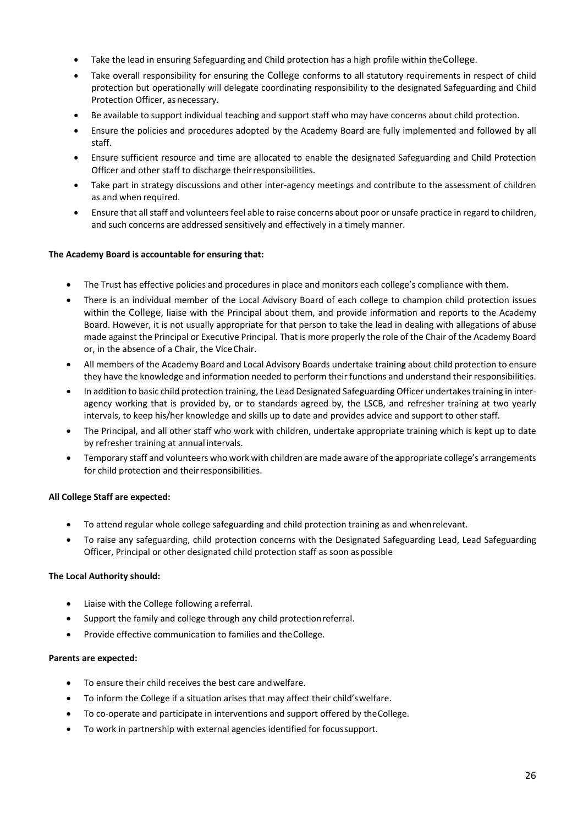- Take the lead in ensuring Safeguarding and Child protection has a high profile within theCollege.
- Take overall responsibility for ensuring the College conforms to all statutory requirements in respect of child protection but operationally will delegate coordinating responsibility to the designated Safeguarding and Child Protection Officer, as necessary.
- Be available to support individual teaching and support staff who may have concerns about child protection.
- Ensure the policies and procedures adopted by the Academy Board are fully implemented and followed by all staff.
- Ensure sufficient resource and time are allocated to enable the designated Safeguarding and Child Protection Officer and other staff to discharge theirresponsibilities.
- Take part in strategy discussions and other inter-agency meetings and contribute to the assessment of children as and when required.
- Ensure that all staff and volunteers feel able to raise concerns about poor or unsafe practice in regard to children, and such concerns are addressed sensitively and effectively in a timely manner.

#### **The Academy Board is accountable for ensuring that:**

- The Trust has effective policies and procedures in place and monitors each college's compliance with them.
- There is an individual member of the Local Advisory Board of each college to champion child protection issues within the College, liaise with the Principal about them, and provide information and reports to the Academy Board. However, it is not usually appropriate for that person to take the lead in dealing with allegations of abuse made against the Principal or Executive Principal. That is more properly the role of the Chair of the Academy Board or, in the absence of a Chair, the ViceChair.
- All members of the Academy Board and Local Advisory Boards undertake training about child protection to ensure they have the knowledge and information needed to perform their functions and understand their responsibilities.
- In addition to basic child protection training, the Lead Designated Safeguarding Officer undertakes training in interagency working that is provided by, or to standards agreed by, the LSCB, and refresher training at two yearly intervals, to keep his/her knowledge and skills up to date and provides advice and support to other staff.
- The Principal, and all other staff who work with children, undertake appropriate training which is kept up to date by refresher training at annual intervals.
- Temporary staff and volunteers who work with children are made aware of the appropriate college's arrangements for child protection and theirresponsibilities.

## **All College Staff are expected:**

- To attend regular whole college safeguarding and child protection training as and whenrelevant.
- To raise any safeguarding, child protection concerns with the Designated Safeguarding Lead, Lead Safeguarding Officer, Principal or other designated child protection staff as soon aspossible

## **The Local Authority should:**

- Liaise with the College following areferral.
- Support the family and college through any child protection referral.
- Provide effective communication to families and theCollege.

#### **Parents are expected:**

- To ensure their child receives the best care andwelfare.
- To inform the College if a situation arises that may affect their child'swelfare.
- To co-operate and participate in interventions and support offered by theCollege.
- To work in partnership with external agencies identified for focussupport.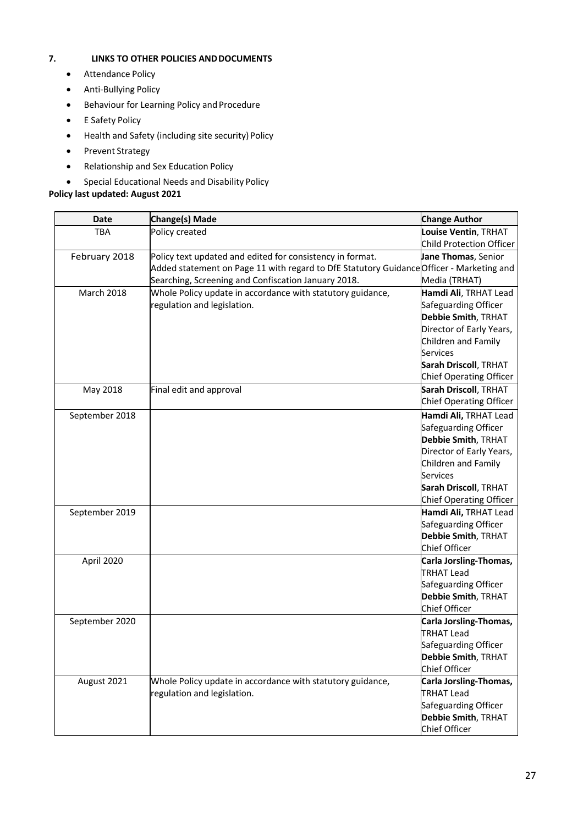## **7. LINKS TO OTHER POLICIES ANDDOCUMENTS**

- Attendance Policy
- Anti-Bullying Policy
- Behaviour for Learning Policy and Procedure
- E Safety Policy
- Health and Safety (including site security) Policy
- Prevent Strategy
- Relationship and Sex Education Policy
- Special Educational Needs and Disability Policy

## **Policy last updated: August 2021**

| <b>Date</b>    | Change(s) Made                                                                           | <b>Change Author</b>            |
|----------------|------------------------------------------------------------------------------------------|---------------------------------|
| <b>TBA</b>     | Policy created                                                                           | Louise Ventin, TRHAT            |
|                |                                                                                          | <b>Child Protection Officer</b> |
| February 2018  | Policy text updated and edited for consistency in format.                                | Jane Thomas, Senior             |
|                | Added statement on Page 11 with regard to DfE Statutory Guidance Officer - Marketing and |                                 |
|                | Searching, Screening and Confiscation January 2018.                                      | Media (TRHAT)                   |
| March 2018     | Whole Policy update in accordance with statutory guidance,                               | Hamdi Ali, TRHAT Lead           |
|                | regulation and legislation.                                                              | Safeguarding Officer            |
|                |                                                                                          | <b>Debbie Smith, TRHAT</b>      |
|                |                                                                                          | Director of Early Years,        |
|                |                                                                                          | Children and Family             |
|                |                                                                                          | Services                        |
|                |                                                                                          | Sarah Driscoll, TRHAT           |
|                |                                                                                          | <b>Chief Operating Officer</b>  |
| May 2018       | Final edit and approval                                                                  | Sarah Driscoll, TRHAT           |
|                |                                                                                          | <b>Chief Operating Officer</b>  |
| September 2018 |                                                                                          | Hamdi Ali, TRHAT Lead           |
|                |                                                                                          | Safeguarding Officer            |
|                |                                                                                          | Debbie Smith, TRHAT             |
|                |                                                                                          | Director of Early Years,        |
|                |                                                                                          | Children and Family             |
|                |                                                                                          | Services                        |
|                |                                                                                          | Sarah Driscoll, TRHAT           |
|                |                                                                                          | <b>Chief Operating Officer</b>  |
| September 2019 |                                                                                          | Hamdi Ali, TRHAT Lead           |
|                |                                                                                          | Safeguarding Officer            |
|                |                                                                                          | <b>Debbie Smith, TRHAT</b>      |
|                |                                                                                          | Chief Officer                   |
| April 2020     |                                                                                          | Carla Jorsling-Thomas,          |
|                |                                                                                          | <b>TRHAT Lead</b>               |
|                |                                                                                          | Safeguarding Officer            |
|                |                                                                                          | Debbie Smith, TRHAT             |
|                |                                                                                          | Chief Officer                   |
| September 2020 |                                                                                          | Carla Jorsling-Thomas,          |
|                |                                                                                          | TRHAT Lead                      |
|                |                                                                                          | Safeguarding Officer            |
|                |                                                                                          | <b>Debbie Smith, TRHAT</b>      |
|                |                                                                                          | Chief Officer                   |
| August 2021    | Whole Policy update in accordance with statutory guidance,                               | Carla Jorsling-Thomas,          |
|                | regulation and legislation.                                                              | <b>TRHAT Lead</b>               |
|                |                                                                                          | Safeguarding Officer            |
|                |                                                                                          | <b>Debbie Smith, TRHAT</b>      |
|                |                                                                                          | Chief Officer                   |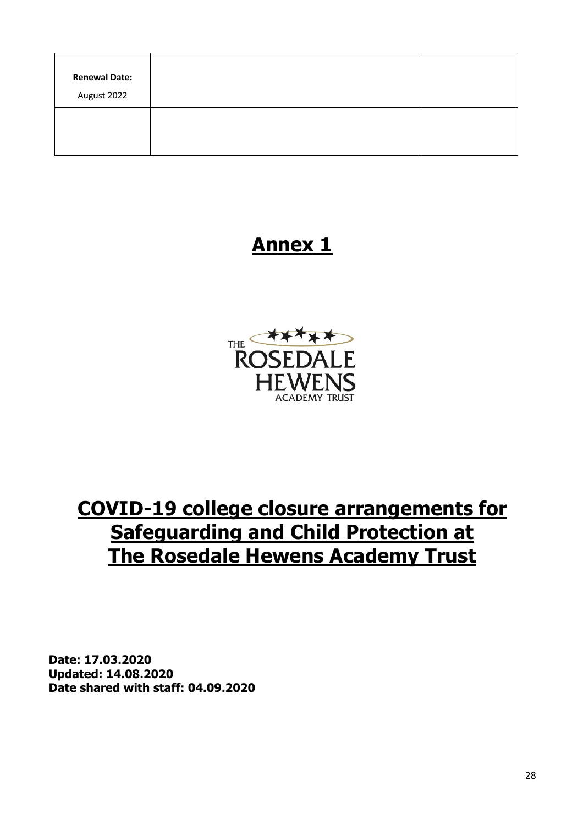## **Annex 1**



## **COVID-19 college closure arrangements for Safeguarding and Child Protection at The Rosedale Hewens Academy Trust**

**Date: 17.03.2020 Updated: 14.08.2020 Date shared with staff: 04.09.2020**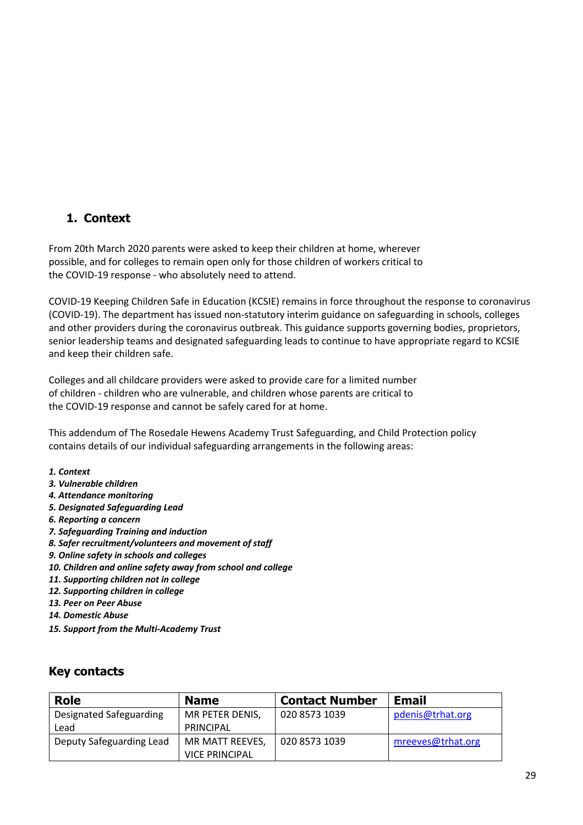## **1. Context**

From 20th March 2020 parents were asked to keep their children at home, wherever possible, and for colleges to remain open only for those children of workers critical to the COVID-19 response - who absolutely need to attend.

COVID-19 Keeping Children Safe in Education (KCSIE) remains in force throughout the response to coronavirus (COVID-19). The department has issued non-statutory interim guidance on safeguarding in schools, colleges and other providers during the coronavirus outbreak. This guidance supports governing bodies, proprietors, senior leadership teams and designated safeguarding leads to continue to have appropriate regard to KCSIE and keep their children safe.

Colleges and all childcare providers were asked to provide care for a limited number of children - children who are vulnerable, and children whose parents are critical to the COVID-19 response and cannot be safely cared for at home.

This addendum of The Rosedale Hewens Academy Trust Safeguarding, and Child Protection policy contains details of our individual safeguarding arrangements in the following areas:

## *1. Context*

- *3. Vulnerable children*
- *4. Attendance monitoring*
- *5. Designated Safeguarding Lead*
- *6. Reporting a concern*
- *7. Safeguarding Training and induction*
- *8. Safer recruitment/volunteers and movement of staff*
- *9. Online safety in schools and colleges*
- *10. Children and online safety away from school and college*
- *11. Supporting children not in college*
- *12. Supporting children in college*
- *13. Peer on Peer Abuse*
- *14. Domestic Abuse*
- 15. Support from the Multi-Academy Trust

## **Key contacts**

| <b>Role</b>              | <b>Name</b>           | <b>Contact Number</b> | <b>Email</b>      |
|--------------------------|-----------------------|-----------------------|-------------------|
| Designated Safeguarding  | MR PETER DENIS,       | 020 8573 1039         | pdenis@trhat.org  |
| Lead                     | PRINCIPAL             |                       |                   |
| Deputy Safeguarding Lead | MR MATT REEVES.       | 020 8573 1039         | mreeves@trhat.org |
|                          | <b>VICE PRINCIPAL</b> |                       |                   |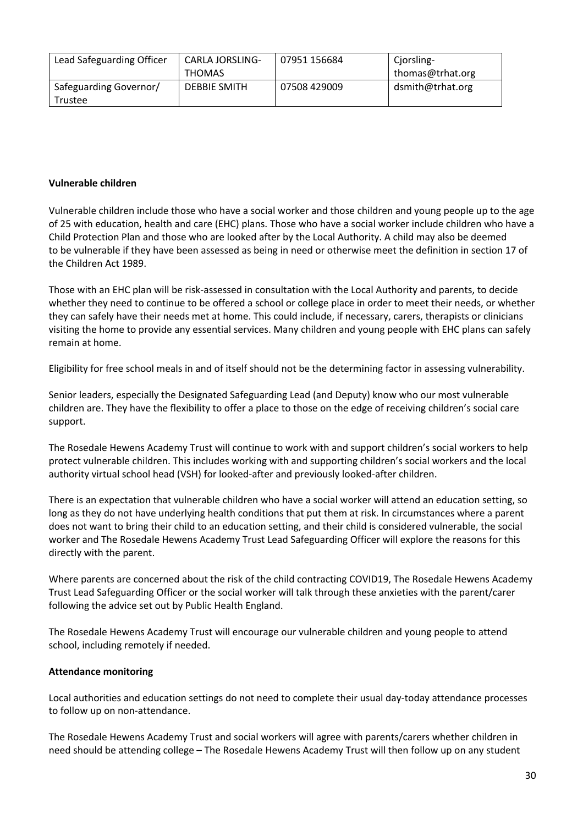| Lead Safeguarding Officer | <b>CARLA JORSLING-</b> | 07951 156684 | Cjorsling-       |
|---------------------------|------------------------|--------------|------------------|
|                           | THOMAS                 |              | thomas@trhat.org |
| Safeguarding Governor/    | <b>DEBBIE SMITH</b>    | 07508 429009 | dsmith@trhat.org |
| Trustee                   |                        |              |                  |

## **Vulnerable children**

Vulnerable children include those who have a social worker and those children and young people up to the age of 25 with education, health and care (EHC) plans. Those who have a social worker include children who have a Child Protection Plan and those who are looked after by the Local Authority. A child may also be deemed to be vulnerable if they have been assessed as being in need or otherwise meet the definition in section 17 of the Children Act 1989.

Those with an EHC plan will be risk-assessed in consultation with the Local Authority and parents, to decide whether they need to continue to be offered a school or college place in order to meet their needs, or whether they can safely have their needs met at home. This could include, if necessary, carers, therapists or clinicians visiting the home to provide any essential services. Many children and young people with EHC plans can safely remain at home.

Eligibility for free school meals in and of itself should not be the determining factor in assessing vulnerability.

Senior leaders, especially the Designated Safeguarding Lead (and Deputy) know who our most vulnerable children are. They have the flexibility to offer a place to those on the edge of receiving children's social care support.

The Rosedale Hewens Academy Trust will continue to work with and support children's social workers to help protect vulnerable children. This includes working with and supporting children's social workers and the local authority virtual school head (VSH) for looked-after and previously looked-after children.

There is an expectation that vulnerable children who have a social worker will attend an education setting, so long as they do not have underlying health conditions that put them at risk. In circumstances where a parent does not want to bring their child to an education setting, and their child is considered vulnerable, the social worker and The Rosedale Hewens Academy Trust Lead Safeguarding Officer will explore the reasons for this directly with the parent.

Where parents are concerned about the risk of the child contracting COVID19, The Rosedale Hewens Academy Trust Lead Safeguarding Officer or the social worker will talk through these anxieties with the parent/carer following the advice set out by Public Health England.

The Rosedale Hewens Academy Trust will encourage our vulnerable children and young people to attend school, including remotely if needed.

## **Attendance monitoring**

Local authorities and education settings do not need to complete their usual day-today attendance processes to follow up on non-attendance.

The Rosedale Hewens Academy Trust and social workers will agree with parents/carers whether children in need should be attending college – The Rosedale Hewens Academy Trust will then follow up on any student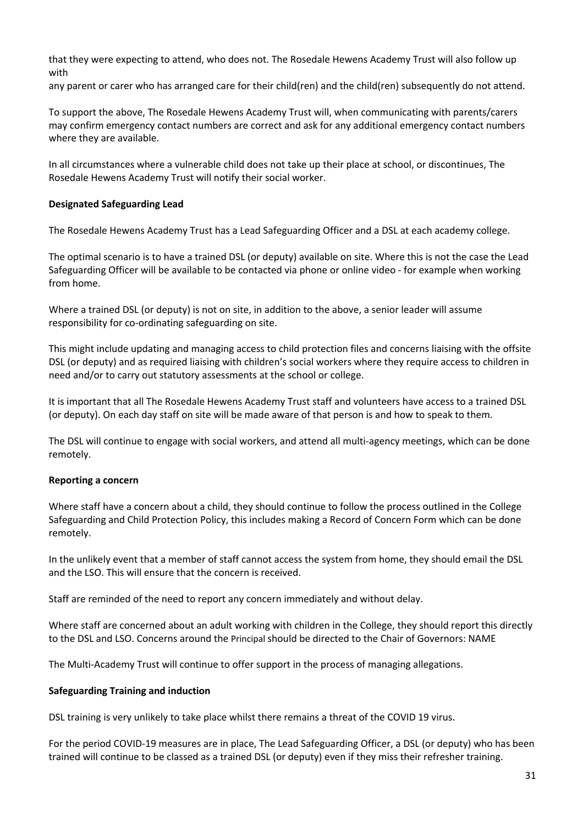that they were expecting to attend, who does not. The Rosedale Hewens Academy Trust will also follow up with

any parent or carer who has arranged care for their child(ren) and the child(ren) subsequently do not attend.

To support the above, The Rosedale Hewens Academy Trust will, when communicating with parents/carers may confirm emergency contact numbers are correct and ask for any additional emergency contact numbers where they are available.

In all circumstances where a vulnerable child does not take up their place at school, or discontinues, The Rosedale Hewens Academy Trust will notify their social worker.

## **Designated Safeguarding Lead**

The Rosedale Hewens Academy Trust has a Lead Safeguarding Officer and a DSL at each academy college.

The optimal scenario is to have a trained DSL (or deputy) available on site. Where this is not the case the Lead Safeguarding Officer will be available to be contacted via phone or online video - for example when working from home.

Where a trained DSL (or deputy) is not on site, in addition to the above, a senior leader will assume responsibility for co-ordinating safeguarding on site.

This might include updating and managing access to child protection files and concerns liaising with the offsite DSL (or deputy) and as required liaising with children's social workers where they require access to children in need and/or to carry out statutory assessments at the school or college.

It is important that all The Rosedale Hewens Academy Trust staff and volunteers have access to a trained DSL (or deputy). On each day staff on site will be made aware of that person is and how to speak to them.

The DSL will continue to engage with social workers, and attend all multi-agency meetings, which can be done remotely.

## **Reporting a concern**

Where staff have a concern about a child, they should continue to follow the process outlined in the College Safeguarding and Child Protection Policy, this includes making a Record of Concern Form which can be done remotely.

In the unlikely event that a member of staff cannot access the system from home, they should email the DSL and the LSO. This will ensure that the concern is received.

Staff are reminded of the need to report any concern immediately and without delay.

Where staff are concerned about an adult working with children in the College, they should report this directly to the DSL and LSO. Concerns around the Principal should be directed to the Chair of Governors: NAME

The Multi-Academy Trust will continue to offer support in the process of managing allegations.

## **Safeguarding Training and induction**

DSL training is very unlikely to take place whilst there remains a threat of the COVID 19 virus.

For the period COVID-19 measures are in place, The Lead Safeguarding Officer, a DSL (or deputy) who has been trained will continue to be classed as a trained DSL (or deputy) even if they miss their refresher training.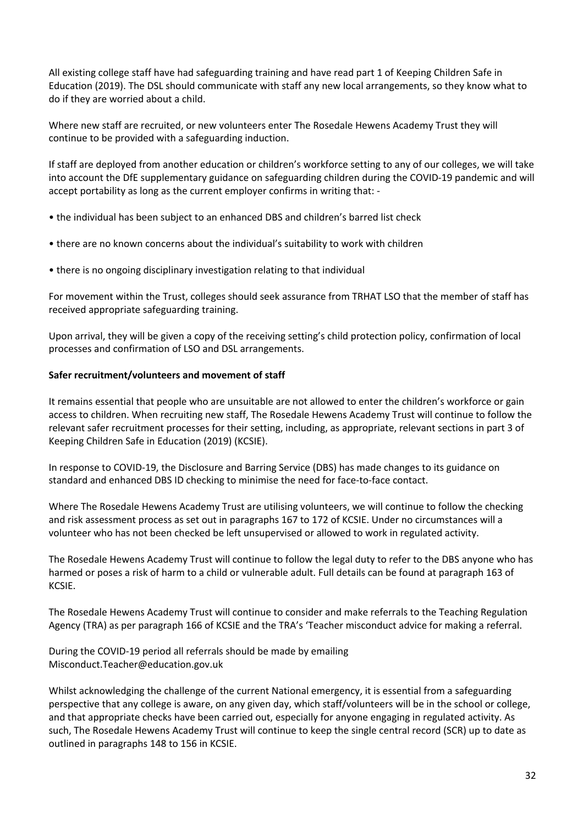All existing college staff have had safeguarding training and have read part 1 of Keeping Children Safe in Education (2019). The DSL should communicate with staff any new local arrangements, so they know what to do if they are worried about a child.

Where new staff are recruited, or new volunteers enter The Rosedale Hewens Academy Trust they will continue to be provided with a safeguarding induction.

If staff are deployed from another education or children's workforce setting to any of our colleges, we will take into account the DfE supplementary guidance on safeguarding children during the COVID-19 pandemic and will accept portability as long as the current employer confirms in writing that: -

- the individual has been subject to an enhanced DBS and children's barred list check
- there are no known concerns about the individual's suitability to work with children
- there is no ongoing disciplinary investigation relating to that individual

For movement within the Trust, colleges should seek assurance from TRHAT LSO that the member of staff has received appropriate safeguarding training.

Upon arrival, they will be given a copy of the receiving setting's child protection policy, confirmation of local processes and confirmation of LSO and DSL arrangements.

## **Safer recruitment/volunteers and movement of staff**

It remains essential that people who are unsuitable are not allowed to enter the children's workforce or gain access to children. When recruiting new staff, The Rosedale Hewens Academy Trust will continue to follow the relevant safer recruitment processes for their setting, including, as appropriate, relevant sections in part 3 of Keeping Children Safe in Education (2019) (KCSIE).

In response to COVID-19, the Disclosure and Barring Service (DBS) has made changes to its guidance on standard and enhanced DBS ID checking to minimise the need for face-to-face contact.

Where The Rosedale Hewens Academy Trust are utilising volunteers, we will continue to follow the checking and risk assessment process as set out in paragraphs 167 to 172 of KCSIE. Under no circumstances will a volunteer who has not been checked be left unsupervised or allowed to work in regulated activity.

The Rosedale Hewens Academy Trust will continue to follow the legal duty to refer to the DBS anyone who has harmed or poses a risk of harm to a child or vulnerable adult. Full details can be found at paragraph 163 of KCSIE.

The Rosedale Hewens Academy Trust will continue to consider and make referrals to the Teaching Regulation Agency (TRA) as per paragraph 166 of KCSIE and the TRA's 'Teacher misconduct advice for making a referral.

During the COVID-19 period all referrals should be made by emailing Misconduct.Teacher@education.gov.uk

Whilst acknowledging the challenge of the current National emergency, it is essential from a safeguarding perspective that any college is aware, on any given day, which staff/volunteers will be in the school or college, and that appropriate checks have been carried out, especially for anyone engaging in regulated activity. As such, The Rosedale Hewens Academy Trust will continue to keep the single central record (SCR) up to date as outlined in paragraphs 148 to 156 in KCSIE.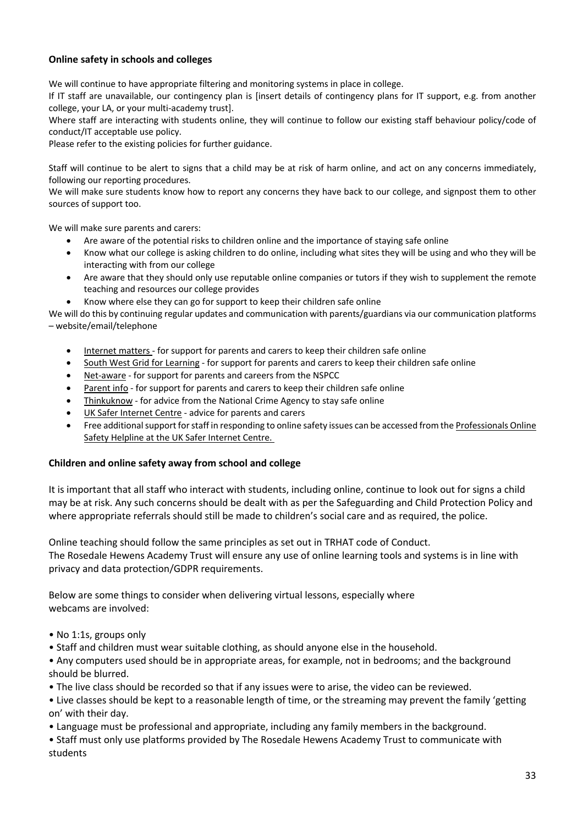## **Online safety in schools and colleges**

We will continue to have appropriate filtering and monitoring systems in place in college.

If IT staff are unavailable, our contingency plan is [insert details of contingency plans for IT support, e.g. from another college, your LA, or your multi-academy trust].

Where staff are interacting with students online, they will continue to follow our existing staff behaviour policy/code of conduct/IT acceptable use policy.

Please refer to the existing policies for further guidance.

Staff will continue to be alert to signs that a child may be at risk of harm online, and act on any concerns immediately, following our reporting procedures.

We will make sure students know how to report any concerns they have back to our college, and signpost them to other sources of support too.

We will make sure parents and carers:

- Are aware of the potential risks to children online and the importance of staying safe online
- Know what our college is asking children to do online, including what sites they will be using and who they will be interacting with from our college
- Are aware that they should only use reputable online companies or tutors if they wish to supplement the remote teaching and resources our college provides
- Know where else they can go for support to keep their children safe online

We will do this by continuing regular updates and communication with parents/guardians via our communication platforms – website/email/telephone

- Internet matters for support for parents and carers to keep their children safe online
- South West Grid for Learning for support for parents and carers to keep their children safe online
- Net-aware for support for parents and careers from the NSPCC
- Parent info for support for parents and carers to keep their children safe online
- Thinkuknow for advice from the National Crime Agency to stay safe online
- UK Safer Internet Centre advice for parents and carers
- Free additional support for staff in responding to online safety issues can be accessed from the Professionals Online Safety Helpline at the UK Safer Internet Centre.

## **Children and online safety away from school and college**

It is important that all staff who interact with students, including online, continue to look out for signs a child may be at risk. Any such concerns should be dealt with as per the Safeguarding and Child Protection Policy and where appropriate referrals should still be made to children's social care and as required, the police.

Online teaching should follow the same principles as set out in TRHAT code of Conduct. The Rosedale Hewens Academy Trust will ensure any use of online learning tools and systems is in line with privacy and data protection/GDPR requirements.

Below are some things to consider when delivering virtual lessons, especially where webcams are involved:

• No 1:1s, groups only

• Staff and children must wear suitable clothing, as should anyone else in the household.

• Any computers used should be in appropriate areas, for example, not in bedrooms; and the background should be blurred.

• The live class should be recorded so that if any issues were to arise, the video can be reviewed.

• Live classes should be kept to a reasonable length of time, or the streaming may prevent the family 'getting on' with their day.

• Language must be professional and appropriate, including any family members in the background.

• Staff must only use platforms provided by The Rosedale Hewens Academy Trust to communicate with students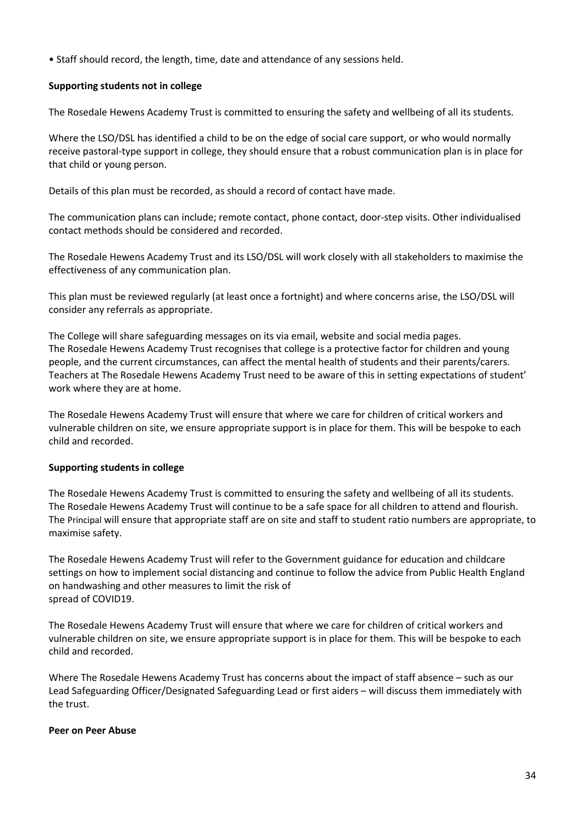• Staff should record, the length, time, date and attendance of any sessions held.

## **Supporting students not in college**

The Rosedale Hewens Academy Trust is committed to ensuring the safety and wellbeing of all its students.

Where the LSO/DSL has identified a child to be on the edge of social care support, or who would normally receive pastoral-type support in college, they should ensure that a robust communication plan is in place for that child or young person.

Details of this plan must be recorded, as should a record of contact have made.

The communication plans can include; remote contact, phone contact, door-step visits. Other individualised contact methods should be considered and recorded.

The Rosedale Hewens Academy Trust and its LSO/DSL will work closely with all stakeholders to maximise the effectiveness of any communication plan.

This plan must be reviewed regularly (at least once a fortnight) and where concerns arise, the LSO/DSL will consider any referrals as appropriate.

The College will share safeguarding messages on its via email, website and social media pages. The Rosedale Hewens Academy Trust recognises that college is a protective factor for children and young people, and the current circumstances, can affect the mental health of students and their parents/carers. Teachers at The Rosedale Hewens Academy Trust need to be aware of this in setting expectations of student' work where they are at home.

The Rosedale Hewens Academy Trust will ensure that where we care for children of critical workers and vulnerable children on site, we ensure appropriate support is in place for them. This will be bespoke to each child and recorded.

## **Supporting students in college**

The Rosedale Hewens Academy Trust is committed to ensuring the safety and wellbeing of all its students. The Rosedale Hewens Academy Trust will continue to be a safe space for all children to attend and flourish. The Principal will ensure that appropriate staff are on site and staff to student ratio numbers are appropriate, to maximise safety.

The Rosedale Hewens Academy Trust will refer to the Government guidance for education and childcare settings on how to implement social distancing and continue to follow the advice from Public Health England on handwashing and other measures to limit the risk of spread of COVID19.

The Rosedale Hewens Academy Trust will ensure that where we care for children of critical workers and vulnerable children on site, we ensure appropriate support is in place for them. This will be bespoke to each child and recorded.

Where The Rosedale Hewens Academy Trust has concerns about the impact of staff absence – such as our Lead Safeguarding Officer/Designated Safeguarding Lead or first aiders – will discuss them immediately with the trust.

## **Peer on Peer Abuse**